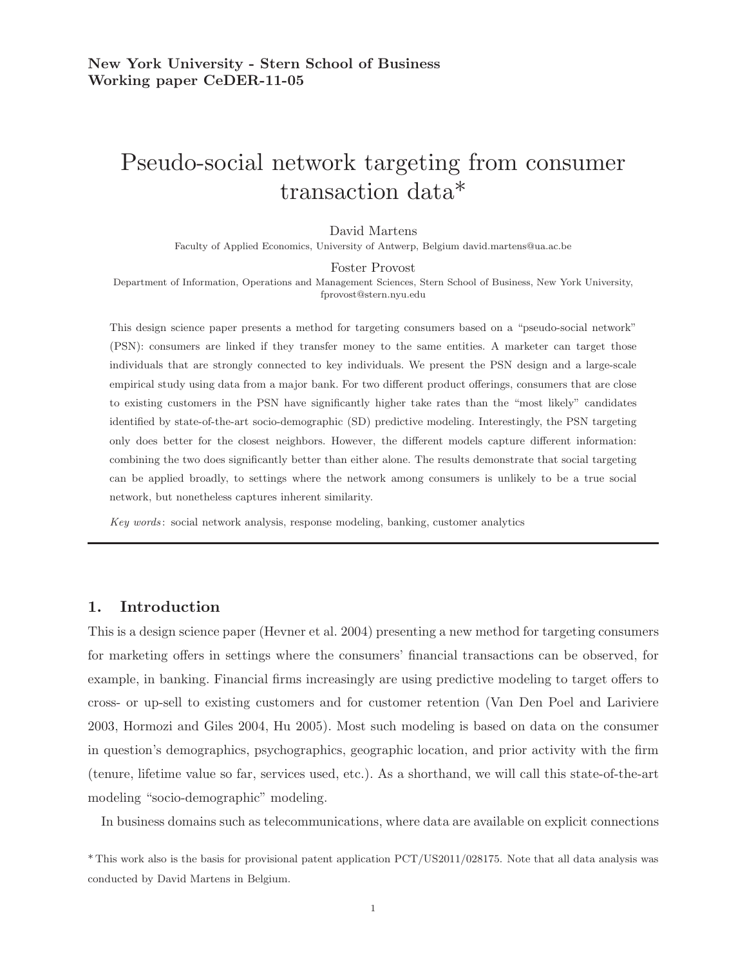# Pseudo-social network targeting from consumer transaction data\*

David Martens

Faculty of Applied Economics, University of Antwerp, Belgium david.martens@ua.ac.be

#### Foster Provost

Department of Information, Operations and Management Sciences, Stern School of Business, New York University, fprovost@stern.nyu.edu

This design science paper presents a method for targeting consumers based on a "pseudo-social network" (PSN): consumers are linked if they transfer money to the same entities. A marketer can target those individuals that are strongly connected to key individuals. We present the PSN design and a large-scale empirical study using data from a major bank. For two different product offerings, consumers that are close to existing customers in the PSN have significantly higher take rates than the "most likely" candidates identified by state-of-the-art socio-demographic (SD) predictive modeling. Interestingly, the PSN targeting only does better for the closest neighbors. However, the different models capture different information: combining the two does significantly better than either alone. The results demonstrate that social targeting can be applied broadly, to settings where the network among consumers is unlikely to be a true social network, but nonetheless captures inherent similarity.

Key words: social network analysis, response modeling, banking, customer analytics

## 1. Introduction

This is a design science paper (Hevner et al. 2004) presenting a new method for targeting consumers for marketing offers in settings where the consumers' financial transactions can be observed, for example, in banking. Financial firms increasingly are using predictive modeling to target offers to cross- or up-sell to existing customers and for customer retention (Van Den Poel and Lariviere 2003, Hormozi and Giles 2004, Hu 2005). Most such modeling is based on data on the consumer in question's demographics, psychographics, geographic location, and prior activity with the firm (tenure, lifetime value so far, services used, etc.). As a shorthand, we will call this state-of-the-art modeling "socio-demographic" modeling.

In business domains such as telecommunications, where data are available on explicit connections

<sup>\*</sup> This work also is the basis for provisional patent application PCT/US2011/028175. Note that all data analysis was conducted by David Martens in Belgium.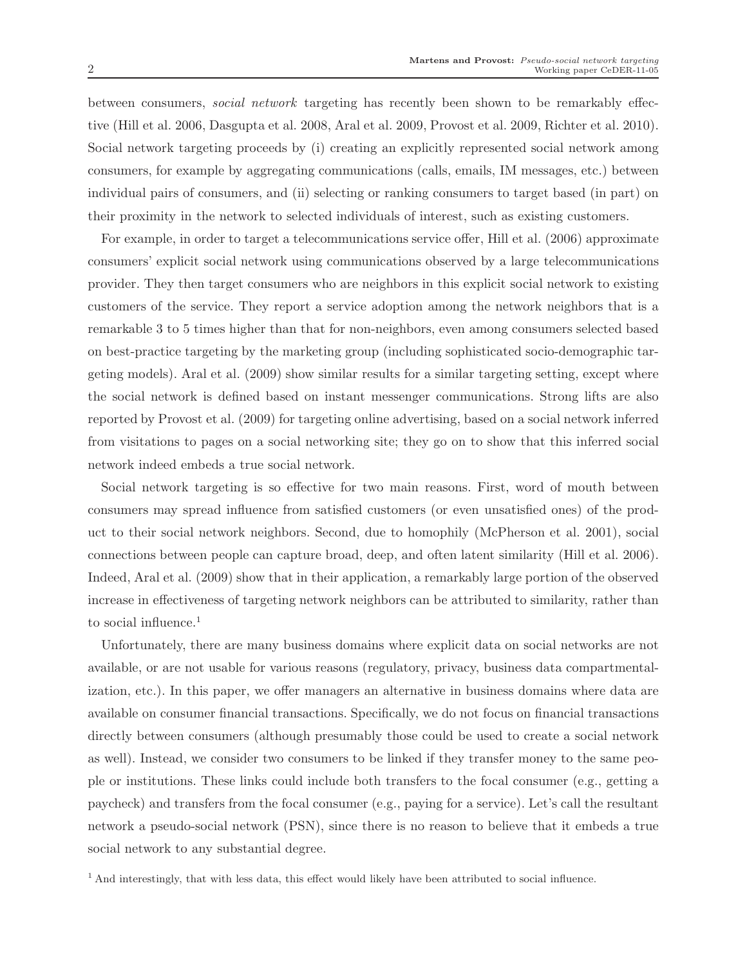between consumers, social network targeting has recently been shown to be remarkably effective (Hill et al. 2006, Dasgupta et al. 2008, Aral et al. 2009, Provost et al. 2009, Richter et al. 2010). Social network targeting proceeds by (i) creating an explicitly represented social network among consumers, for example by aggregating communications (calls, emails, IM messages, etc.) between individual pairs of consumers, and (ii) selecting or ranking consumers to target based (in part) on their proximity in the network to selected individuals of interest, such as existing customers.

For example, in order to target a telecommunications service offer, Hill et al. (2006) approximate consumers' explicit social network using communications observed by a large telecommunications provider. They then target consumers who are neighbors in this explicit social network to existing customers of the service. They report a service adoption among the network neighbors that is a remarkable 3 to 5 times higher than that for non-neighbors, even among consumers selected based on best-practice targeting by the marketing group (including sophisticated socio-demographic targeting models). Aral et al. (2009) show similar results for a similar targeting setting, except where the social network is defined based on instant messenger communications. Strong lifts are also reported by Provost et al. (2009) for targeting online advertising, based on a social network inferred from visitations to pages on a social networking site; they go on to show that this inferred social network indeed embeds a true social network.

Social network targeting is so effective for two main reasons. First, word of mouth between consumers may spread influence from satisfied customers (or even unsatisfied ones) of the product to their social network neighbors. Second, due to homophily (McPherson et al. 2001), social connections between people can capture broad, deep, and often latent similarity (Hill et al. 2006). Indeed, Aral et al. (2009) show that in their application, a remarkably large portion of the observed increase in effectiveness of targeting network neighbors can be attributed to similarity, rather than to social influence.<sup>1</sup>

Unfortunately, there are many business domains where explicit data on social networks are not available, or are not usable for various reasons (regulatory, privacy, business data compartmentalization, etc.). In this paper, we offer managers an alternative in business domains where data are available on consumer financial transactions. Specifically, we do not focus on financial transactions directly between consumers (although presumably those could be used to create a social network as well). Instead, we consider two consumers to be linked if they transfer money to the same people or institutions. These links could include both transfers to the focal consumer (e.g., getting a paycheck) and transfers from the focal consumer (e.g., paying for a service). Let's call the resultant network a pseudo-social network (PSN), since there is no reason to believe that it embeds a true social network to any substantial degree.

<sup>&</sup>lt;sup>1</sup> And interestingly, that with less data, this effect would likely have been attributed to social influence.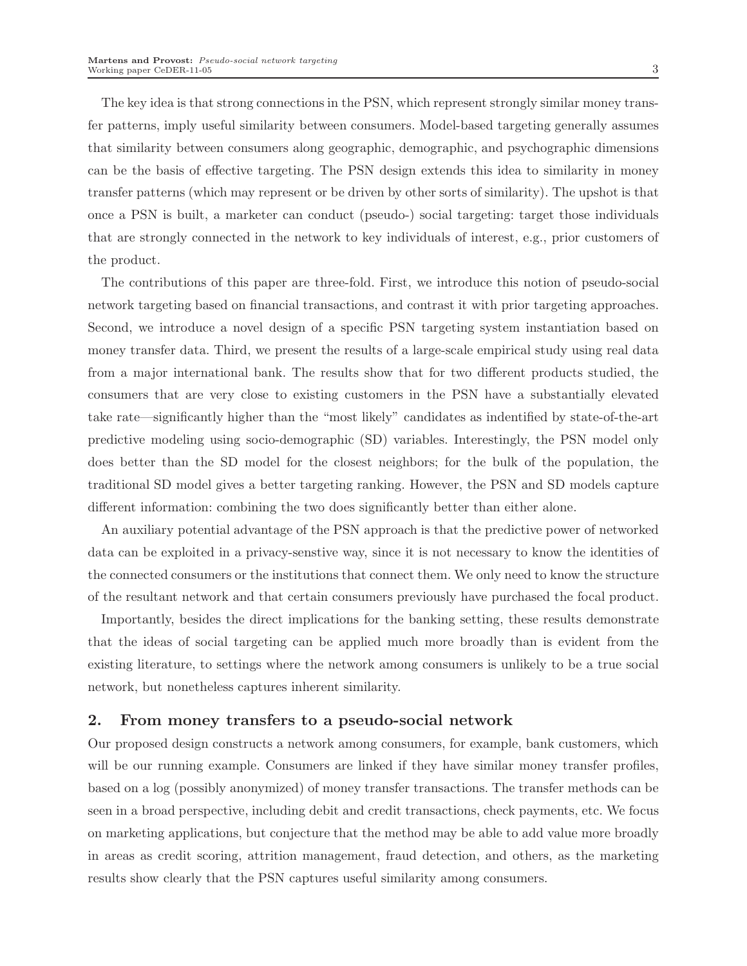The key idea is that strong connections in the PSN, which represent strongly similar money transfer patterns, imply useful similarity between consumers. Model-based targeting generally assumes that similarity between consumers along geographic, demographic, and psychographic dimensions can be the basis of effective targeting. The PSN design extends this idea to similarity in money transfer patterns (which may represent or be driven by other sorts of similarity). The upshot is that once a PSN is built, a marketer can conduct (pseudo-) social targeting: target those individuals that are strongly connected in the network to key individuals of interest, e.g., prior customers of the product.

The contributions of this paper are three-fold. First, we introduce this notion of pseudo-social network targeting based on financial transactions, and contrast it with prior targeting approaches. Second, we introduce a novel design of a specific PSN targeting system instantiation based on money transfer data. Third, we present the results of a large-scale empirical study using real data from a major international bank. The results show that for two different products studied, the consumers that are very close to existing customers in the PSN have a substantially elevated take rate—significantly higher than the "most likely" candidates as indentified by state-of-the-art predictive modeling using socio-demographic (SD) variables. Interestingly, the PSN model only does better than the SD model for the closest neighbors; for the bulk of the population, the traditional SD model gives a better targeting ranking. However, the PSN and SD models capture different information: combining the two does significantly better than either alone.

An auxiliary potential advantage of the PSN approach is that the predictive power of networked data can be exploited in a privacy-senstive way, since it is not necessary to know the identities of the connected consumers or the institutions that connect them. We only need to know the structure of the resultant network and that certain consumers previously have purchased the focal product.

Importantly, besides the direct implications for the banking setting, these results demonstrate that the ideas of social targeting can be applied much more broadly than is evident from the existing literature, to settings where the network among consumers is unlikely to be a true social network, but nonetheless captures inherent similarity.

#### 2. From money transfers to a pseudo-social network

Our proposed design constructs a network among consumers, for example, bank customers, which will be our running example. Consumers are linked if they have similar money transfer profiles, based on a log (possibly anonymized) of money transfer transactions. The transfer methods can be seen in a broad perspective, including debit and credit transactions, check payments, etc. We focus on marketing applications, but conjecture that the method may be able to add value more broadly in areas as credit scoring, attrition management, fraud detection, and others, as the marketing results show clearly that the PSN captures useful similarity among consumers.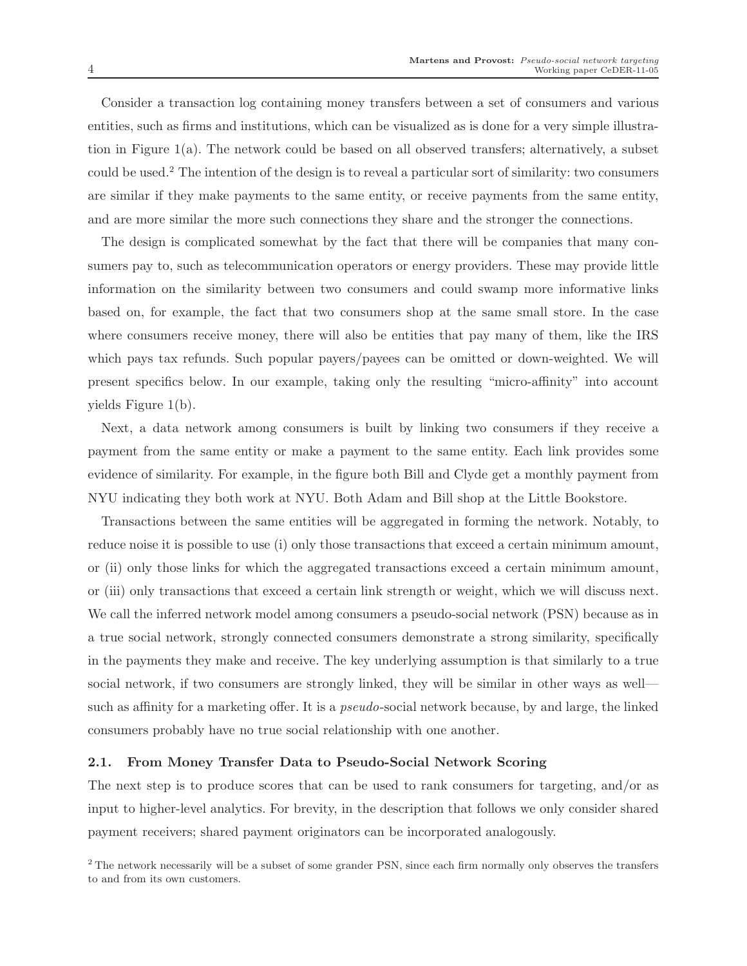Consider a transaction log containing money transfers between a set of consumers and various entities, such as firms and institutions, which can be visualized as is done for a very simple illustration in Figure 1(a). The network could be based on all observed transfers; alternatively, a subset could be used.<sup>2</sup> The intention of the design is to reveal a particular sort of similarity: two consumers are similar if they make payments to the same entity, or receive payments from the same entity, and are more similar the more such connections they share and the stronger the connections.

The design is complicated somewhat by the fact that there will be companies that many consumers pay to, such as telecommunication operators or energy providers. These may provide little information on the similarity between two consumers and could swamp more informative links based on, for example, the fact that two consumers shop at the same small store. In the case where consumers receive money, there will also be entities that pay many of them, like the IRS which pays tax refunds. Such popular payers/payees can be omitted or down-weighted. We will present specifics below. In our example, taking only the resulting "micro-affinity" into account yields Figure 1(b).

Next, a data network among consumers is built by linking two consumers if they receive a payment from the same entity or make a payment to the same entity. Each link provides some evidence of similarity. For example, in the figure both Bill and Clyde get a monthly payment from NYU indicating they both work at NYU. Both Adam and Bill shop at the Little Bookstore.

Transactions between the same entities will be aggregated in forming the network. Notably, to reduce noise it is possible to use (i) only those transactions that exceed a certain minimum amount, or (ii) only those links for which the aggregated transactions exceed a certain minimum amount, or (iii) only transactions that exceed a certain link strength or weight, which we will discuss next. We call the inferred network model among consumers a pseudo-social network (PSN) because as in a true social network, strongly connected consumers demonstrate a strong similarity, specifically in the payments they make and receive. The key underlying assumption is that similarly to a true social network, if two consumers are strongly linked, they will be similar in other ways as well such as affinity for a marketing offer. It is a pseudo-social network because, by and large, the linked consumers probably have no true social relationship with one another.

#### 2.1. From Money Transfer Data to Pseudo-Social Network Scoring

The next step is to produce scores that can be used to rank consumers for targeting, and/or as input to higher-level analytics. For brevity, in the description that follows we only consider shared payment receivers; shared payment originators can be incorporated analogously.

<sup>&</sup>lt;sup>2</sup> The network necessarily will be a subset of some grander PSN, since each firm normally only observes the transfers to and from its own customers.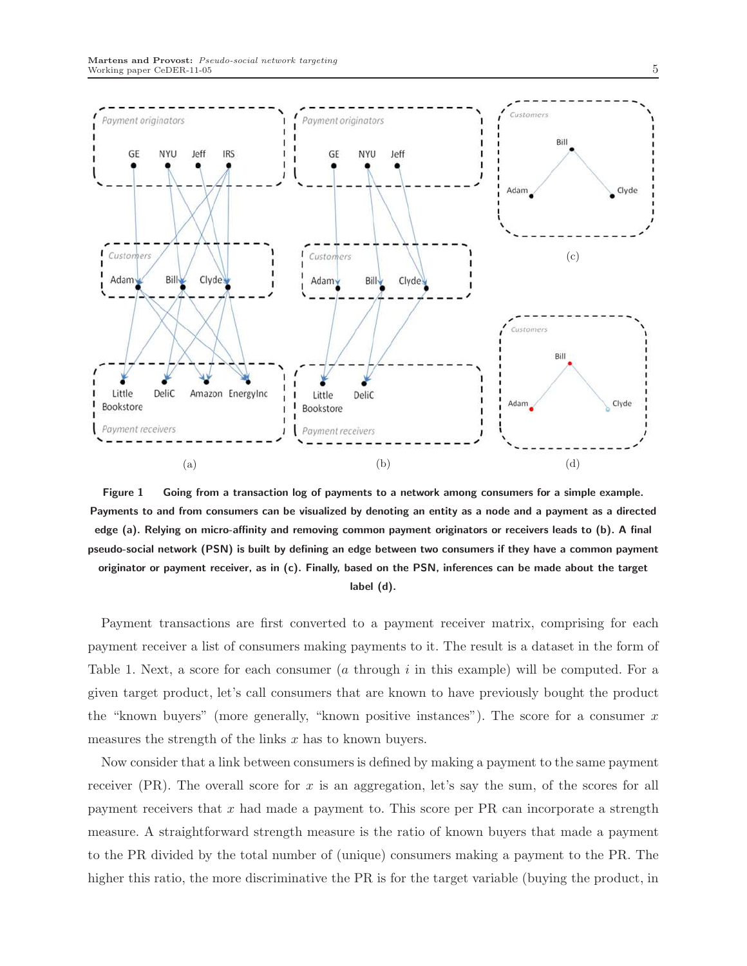

Figure 1 Going from a transaction log of payments to a network among consumers for a simple example. Payments to and from consumers can be visualized by denoting an entity as a node and a payment as a directed edge (a). Relying on micro-affinity and removing common payment originators or receivers leads to (b). A final pseudo-social network (PSN) is built by defining an edge between two consumers if they have a common payment originator or payment receiver, as in (c). Finally, based on the PSN, inferences can be made about the target label (d).

Payment transactions are first converted to a payment receiver matrix, comprising for each payment receiver a list of consumers making payments to it. The result is a dataset in the form of Table 1. Next, a score for each consumer  $(a \t{through } i \t{in this example})$  will be computed. For a given target product, let's call consumers that are known to have previously bought the product the "known buyers" (more generally, "known positive instances"). The score for a consumer  $x$ measures the strength of the links  $x$  has to known buyers.

Now consider that a link between consumers is defined by making a payment to the same payment receiver (PR). The overall score for x is an aggregation, let's say the sum, of the scores for all payment receivers that  $x$  had made a payment to. This score per PR can incorporate a strength measure. A straightforward strength measure is the ratio of known buyers that made a payment to the PR divided by the total number of (unique) consumers making a payment to the PR. The higher this ratio, the more discriminative the PR is for the target variable (buying the product, in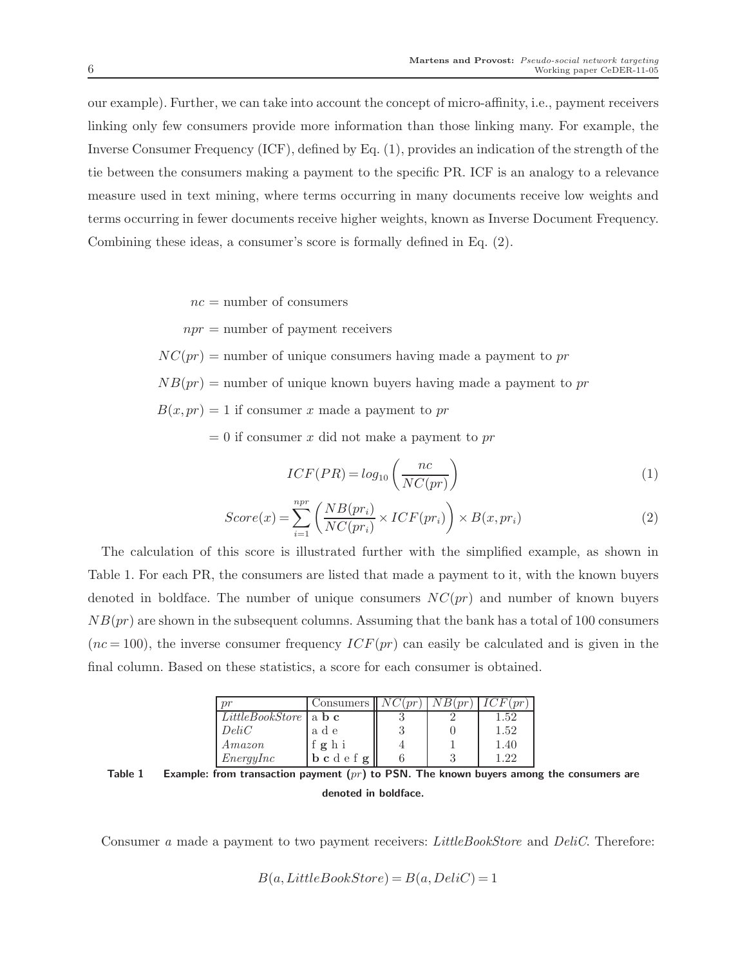our example). Further, we can take into account the concept of micro-affinity, i.e., payment receivers linking only few consumers provide more information than those linking many. For example, the Inverse Consumer Frequency (ICF), defined by Eq. (1), provides an indication of the strength of the tie between the consumers making a payment to the specific PR. ICF is an analogy to a relevance measure used in text mining, where terms occurring in many documents receive low weights and terms occurring in fewer documents receive higher weights, known as Inverse Document Frequency. Combining these ideas, a consumer's score is formally defined in Eq. (2).

 $nc =$  number of consumers

 $npr =$  number of payment receivers

 $NC(pr)$  = number of unique consumers having made a payment to pr

 $NB(pr)$  = number of unique known buyers having made a payment to pr

 $B(x, pr) = 1$  if consumer x made a payment to pr

 $= 0$  if consumer x did not make a payment to pr

$$
ICF(PR) = log_{10}\left(\frac{nc}{NC(pr)}\right)
$$
\n(1)

$$
Score(x) = \sum_{i=1}^{npr} \left( \frac{NB(pr_i)}{NC(pr_i)} \times ICF(pr_i) \right) \times B(x, pr_i)
$$
\n(2)

The calculation of this score is illustrated further with the simplified example, as shown in Table 1. For each PR, the consumers are listed that made a payment to it, with the known buyers denoted in boldface. The number of unique consumers  $NC(pr)$  and number of known buyers  $NB(pr)$  are shown in the subsequent columns. Assuming that the bank has a total of 100 consumers  $(nc = 100)$ , the inverse consumer frequency  $ICF(pr)$  can easily be calculated and is given in the final column. Based on these statistics, a score for each consumer is obtained.

|                                                  | Consumers II                                                                 | NC(pr) |      |
|--------------------------------------------------|------------------------------------------------------------------------------|--------|------|
| <i>LittleBookStore</i>   a $\mathbf{b}$ <b>c</b> |                                                                              |        | 1.52 |
| DeliC                                            | a d e                                                                        |        | 1.52 |
| $A$ mazon                                        | ghi                                                                          |        | 1.40 |
| EnergyInc                                        | $\mathbf{b} \mathbf{c} \, \mathbf{d} \mathbf{e} \, \mathbf{f} \, \mathbf{g}$ |        | 199  |

Table 1 Example: from transaction payment  $(pr)$  to PSN. The known buyers among the consumers are denoted in boldface.

Consumer a made a payment to two payment receivers: LittleBookStore and DeliC. Therefore:

 $B(a,LittleBookStore) = B(a, DeliC) = 1$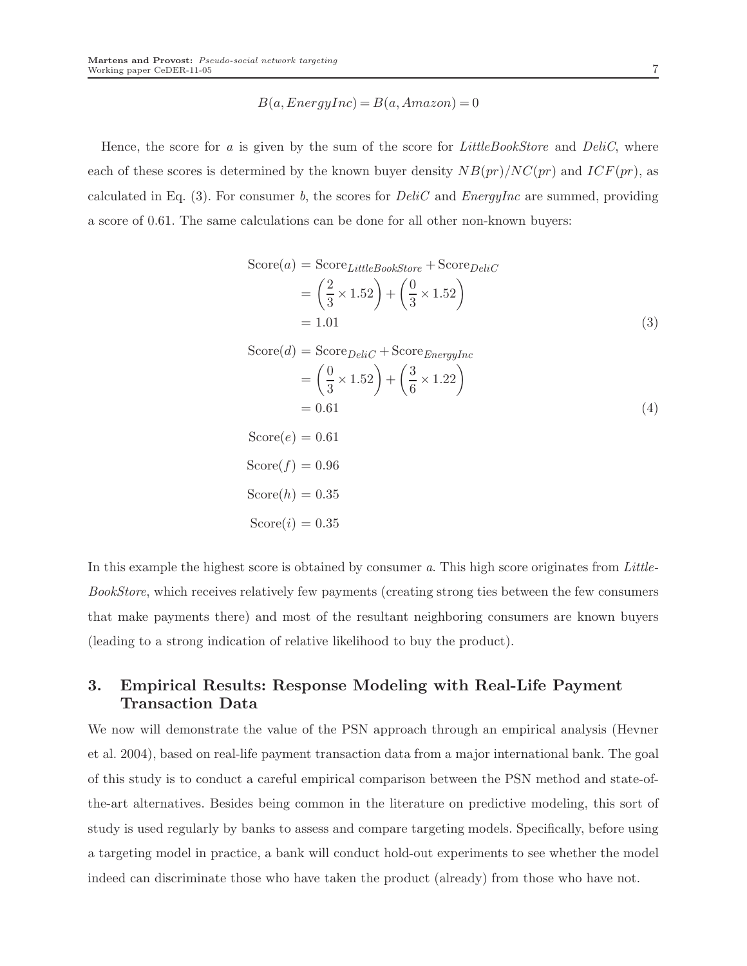$$
B(a, EnergyInc) = B(a, Amazon) = 0
$$

Hence, the score for  $a$  is given by the sum of the score for *LittleBookStore* and *DeliC*, where each of these scores is determined by the known buyer density  $NB(pr)/NC(pr)$  and  $ICF(pr)$ , as calculated in Eq. (3). For consumer b, the scores for  $Delic$  and  $EnergyInc$  are summed, providing a score of 0.61. The same calculations can be done for all other non-known buyers:

$$
Score(a) = Score_{LittleBookStore} + Score_{DeliC}
$$

$$
= \left(\frac{2}{3} \times 1.52\right) + \left(\frac{0}{3} \times 1.52\right)
$$

$$
= 1.01
$$
(3)

$$
\begin{aligned} \text{Score}(d) &= \text{Score}_{DeliC} + \text{Score}_{EnergyInc} \\ &= \left(\frac{0}{3} \times 1.52\right) + \left(\frac{3}{6} \times 1.22\right) \\ &= 0.61 \end{aligned} \tag{4}
$$

$$
Score(e) = 0.61
$$
  
\n
$$
Score(f) = 0.96
$$
  
\n
$$
Score(h) = 0.35
$$
  
\n
$$
Score(i) = 0.35
$$

In this example the highest score is obtained by consumer a. This high score originates from Little-BookStore, which receives relatively few payments (creating strong ties between the few consumers that make payments there) and most of the resultant neighboring consumers are known buyers (leading to a strong indication of relative likelihood to buy the product).

## 3. Empirical Results: Response Modeling with Real-Life Payment Transaction Data

We now will demonstrate the value of the PSN approach through an empirical analysis (Hevner et al. 2004), based on real-life payment transaction data from a major international bank. The goal of this study is to conduct a careful empirical comparison between the PSN method and state-ofthe-art alternatives. Besides being common in the literature on predictive modeling, this sort of study is used regularly by banks to assess and compare targeting models. Specifically, before using a targeting model in practice, a bank will conduct hold-out experiments to see whether the model indeed can discriminate those who have taken the product (already) from those who have not.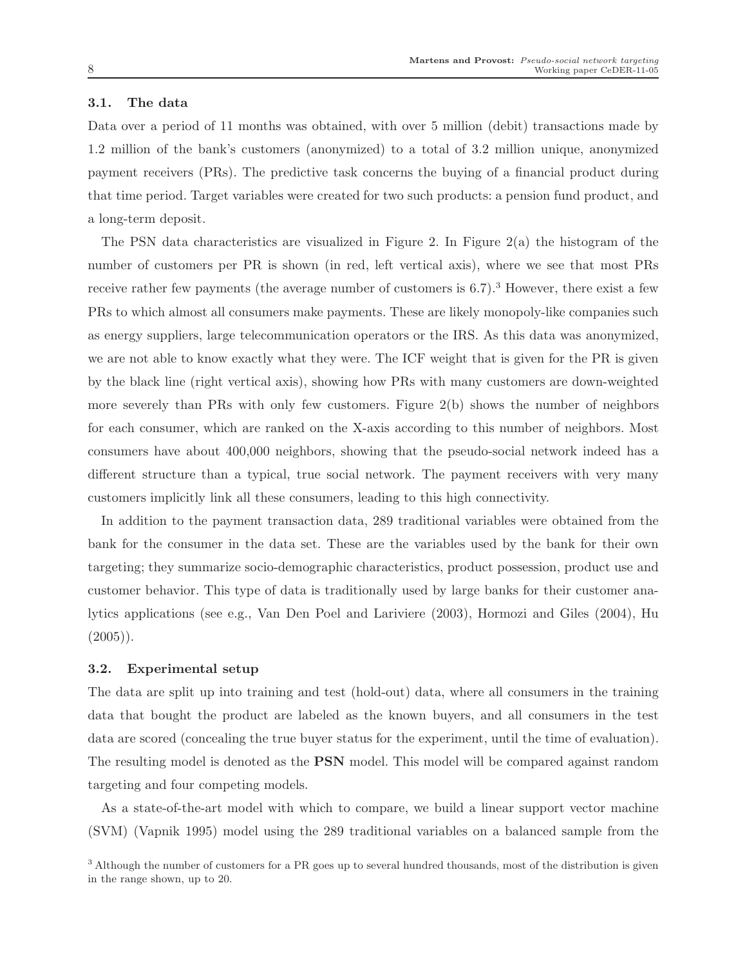#### 3.1. The data

Data over a period of 11 months was obtained, with over 5 million (debit) transactions made by 1.2 million of the bank's customers (anonymized) to a total of 3.2 million unique, anonymized payment receivers (PRs). The predictive task concerns the buying of a financial product during that time period. Target variables were created for two such products: a pension fund product, and a long-term deposit.

The PSN data characteristics are visualized in Figure 2. In Figure  $2(a)$  the histogram of the number of customers per PR is shown (in red, left vertical axis), where we see that most PRs receive rather few payments (the average number of customers is  $6.7$ ).<sup>3</sup> However, there exist a few PRs to which almost all consumers make payments. These are likely monopoly-like companies such as energy suppliers, large telecommunication operators or the IRS. As this data was anonymized, we are not able to know exactly what they were. The ICF weight that is given for the PR is given by the black line (right vertical axis), showing how PRs with many customers are down-weighted more severely than PRs with only few customers. Figure  $2(b)$  shows the number of neighbors for each consumer, which are ranked on the X-axis according to this number of neighbors. Most consumers have about 400,000 neighbors, showing that the pseudo-social network indeed has a different structure than a typical, true social network. The payment receivers with very many customers implicitly link all these consumers, leading to this high connectivity.

In addition to the payment transaction data, 289 traditional variables were obtained from the bank for the consumer in the data set. These are the variables used by the bank for their own targeting; they summarize socio-demographic characteristics, product possession, product use and customer behavior. This type of data is traditionally used by large banks for their customer analytics applications (see e.g., Van Den Poel and Lariviere (2003), Hormozi and Giles (2004), Hu  $(2005)$ .

#### 3.2. Experimental setup

The data are split up into training and test (hold-out) data, where all consumers in the training data that bought the product are labeled as the known buyers, and all consumers in the test data are scored (concealing the true buyer status for the experiment, until the time of evaluation). The resulting model is denoted as the PSN model. This model will be compared against random targeting and four competing models.

As a state-of-the-art model with which to compare, we build a linear support vector machine (SVM) (Vapnik 1995) model using the 289 traditional variables on a balanced sample from the

<sup>&</sup>lt;sup>3</sup> Although the number of customers for a PR goes up to several hundred thousands, most of the distribution is given in the range shown, up to 20.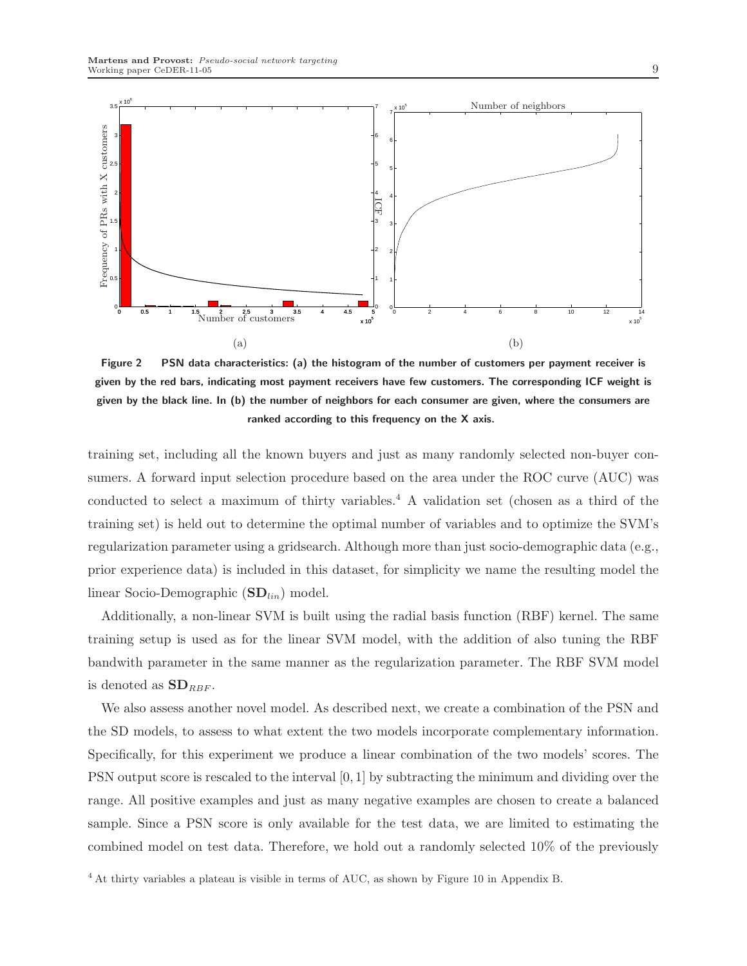

Figure 2 PSN data characteristics: (a) the histogram of the number of customers per payment receiver is given by the red bars, indicating most payment receivers have few customers. The corresponding ICF weight is given by the black line. In (b) the number of neighbors for each consumer are given, where the consumers are ranked according to this frequency on the X axis.

training set, including all the known buyers and just as many randomly selected non-buyer consumers. A forward input selection procedure based on the area under the ROC curve (AUC) was conducted to select a maximum of thirty variables.<sup>4</sup> A validation set (chosen as a third of the training set) is held out to determine the optimal number of variables and to optimize the SVM's regularization parameter using a gridsearch. Although more than just socio-demographic data (e.g., prior experience data) is included in this dataset, for simplicity we name the resulting model the linear Socio-Demographic  $(SD_{lin})$  model.

Additionally, a non-linear SVM is built using the radial basis function (RBF) kernel. The same training setup is used as for the linear SVM model, with the addition of also tuning the RBF bandwith parameter in the same manner as the regularization parameter. The RBF SVM model is denoted as  $SD_{RBF}$ .

We also assess another novel model. As described next, we create a combination of the PSN and the SD models, to assess to what extent the two models incorporate complementary information. Specifically, for this experiment we produce a linear combination of the two models' scores. The PSN output score is rescaled to the interval [0, 1] by subtracting the minimum and dividing over the range. All positive examples and just as many negative examples are chosen to create a balanced sample. Since a PSN score is only available for the test data, we are limited to estimating the combined model on test data. Therefore, we hold out a randomly selected 10% of the previously

<sup>4</sup> At thirty variables a plateau is visible in terms of AUC, as shown by Figure 10 in Appendix B.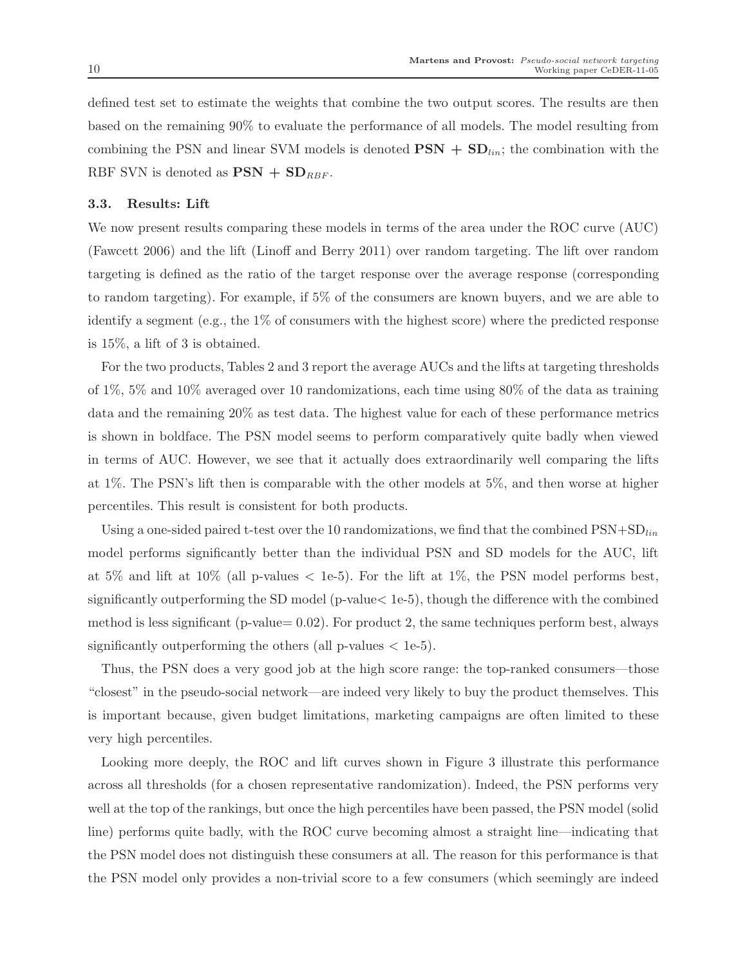defined test set to estimate the weights that combine the two output scores. The results are then based on the remaining 90% to evaluate the performance of all models. The model resulting from combining the PSN and linear SVM models is denoted  $\text{PSN} + \text{SD}_{lin}$ ; the combination with the RBF SVN is denoted as  $\text{PSN} + \text{SD}_{RBF}$ .

#### 3.3. Results: Lift

We now present results comparing these models in terms of the area under the ROC curve (AUC) (Fawcett 2006) and the lift (Linoff and Berry 2011) over random targeting. The lift over random targeting is defined as the ratio of the target response over the average response (corresponding to random targeting). For example, if 5% of the consumers are known buyers, and we are able to identify a segment (e.g., the 1% of consumers with the highest score) where the predicted response is 15%, a lift of 3 is obtained.

For the two products, Tables 2 and 3 report the average AUCs and the lifts at targeting thresholds of 1%, 5% and 10% averaged over 10 randomizations, each time using 80% of the data as training data and the remaining 20% as test data. The highest value for each of these performance metrics is shown in boldface. The PSN model seems to perform comparatively quite badly when viewed in terms of AUC. However, we see that it actually does extraordinarily well comparing the lifts at 1%. The PSN's lift then is comparable with the other models at 5%, and then worse at higher percentiles. This result is consistent for both products.

Using a one-sided paired t-test over the 10 randomizations, we find that the combined  $PSN+SD_{lin}$ model performs significantly better than the individual PSN and SD models for the AUC, lift at 5% and lift at  $10\%$  (all p-values  $\lt$  1e-5). For the lift at 1%, the PSN model performs best, significantly outperforming the SD model (p-value< 1e-5), though the difference with the combined method is less significant (p-value=  $0.02$ ). For product 2, the same techniques perform best, always significantly outperforming the others (all p-values  $\langle$  1e-5).

Thus, the PSN does a very good job at the high score range: the top-ranked consumers—those "closest" in the pseudo-social network—are indeed very likely to buy the product themselves. This is important because, given budget limitations, marketing campaigns are often limited to these very high percentiles.

Looking more deeply, the ROC and lift curves shown in Figure 3 illustrate this performance across all thresholds (for a chosen representative randomization). Indeed, the PSN performs very well at the top of the rankings, but once the high percentiles have been passed, the PSN model (solid line) performs quite badly, with the ROC curve becoming almost a straight line—indicating that the PSN model does not distinguish these consumers at all. The reason for this performance is that the PSN model only provides a non-trivial score to a few consumers (which seemingly are indeed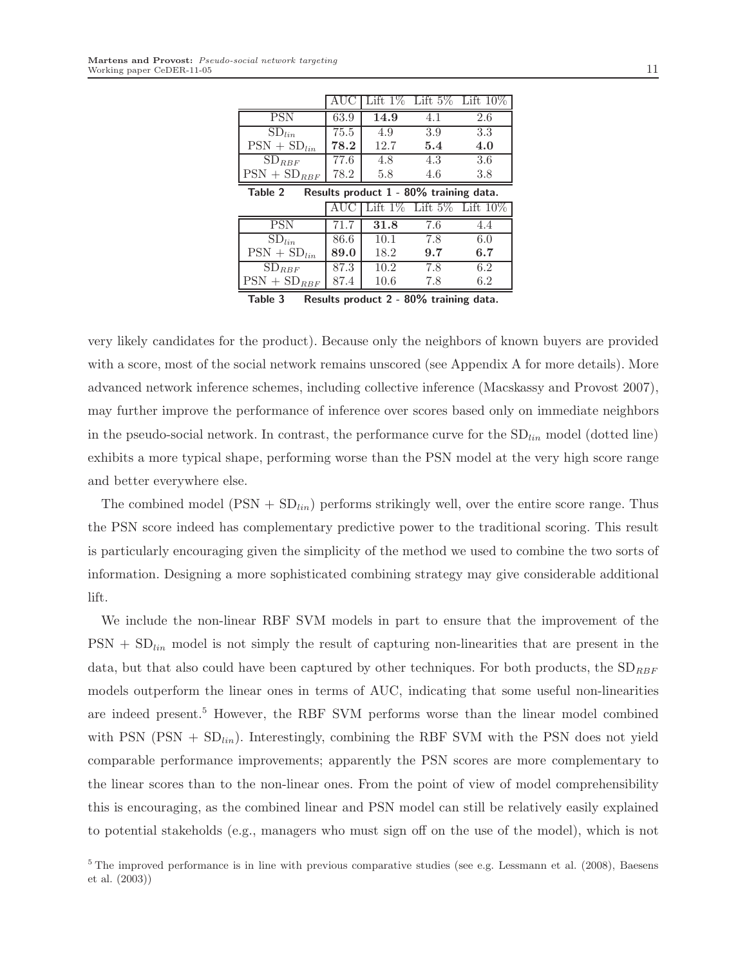|                                                   | AUC  |      |     | Lift 1% Lift 5% Lift 10% |  |  |
|---------------------------------------------------|------|------|-----|--------------------------|--|--|
| <b>PSN</b>                                        | 63.9 | 14.9 | 4.1 | 2.6                      |  |  |
| $SD_{lin}$                                        | 75.5 | 4.9  | 3.9 | 3.3                      |  |  |
| $PSN + SD_{lin}$                                  | 78.2 | 12.7 | 5.4 | 4.0                      |  |  |
| $SD_{RBF}$                                        | 77.6 | 4.8  | 4.3 | 3.6                      |  |  |
| $PSN + SD_{RBF}$                                  | 78.2 | 5.8  | 4.6 | 3.8                      |  |  |
| Table 2<br>Results product 1 - 80% training data. |      |      |     |                          |  |  |

|                  | AUC  |      |     | Lift $1\%$ Lift $5\%$ Lift $10\%$ |
|------------------|------|------|-----|-----------------------------------|
| <b>PSN</b>       | 71.7 | 31.8 | 7.6 |                                   |
| $SD_{lin}$       | 86.6 | 10.1 | 7.8 | 6.0                               |
| $PSN + SD_{lin}$ | 89.0 | 18.2 | 9.7 | 6.7                               |
| $SD_{RBF}$       | 87.3 | 10.2 | 7.8 | 6.2                               |
| $PSN + SD_{RBF}$ | 87.4 | 10.6 | 7.8 | 62                                |

Table 3 Results product 2 - 80% training data.

very likely candidates for the product). Because only the neighbors of known buyers are provided with a score, most of the social network remains unscored (see Appendix A for more details). More advanced network inference schemes, including collective inference (Macskassy and Provost 2007), may further improve the performance of inference over scores based only on immediate neighbors in the pseudo-social network. In contrast, the performance curve for the  $SD<sub>lin</sub>$  model (dotted line) exhibits a more typical shape, performing worse than the PSN model at the very high score range and better everywhere else.

The combined model  $(PSN + SD_{lin})$  performs strikingly well, over the entire score range. Thus the PSN score indeed has complementary predictive power to the traditional scoring. This result is particularly encouraging given the simplicity of the method we used to combine the two sorts of information. Designing a more sophisticated combining strategy may give considerable additional lift.

We include the non-linear RBF SVM models in part to ensure that the improvement of the  $PSN + SD_{lin}$  model is not simply the result of capturing non-linearities that are present in the data, but that also could have been captured by other techniques. For both products, the  $SD_{RBF}$ models outperform the linear ones in terms of AUC, indicating that some useful non-linearities are indeed present.<sup>5</sup> However, the RBF SVM performs worse than the linear model combined with PSN (PSN +  $SD<sub>lin</sub>$ ). Interestingly, combining the RBF SVM with the PSN does not yield comparable performance improvements; apparently the PSN scores are more complementary to the linear scores than to the non-linear ones. From the point of view of model comprehensibility this is encouraging, as the combined linear and PSN model can still be relatively easily explained to potential stakeholds (e.g., managers who must sign off on the use of the model), which is not

 $5$  The improved performance is in line with previous comparative studies (see e.g. Lessmann et al. (2008), Baesens et al. (2003))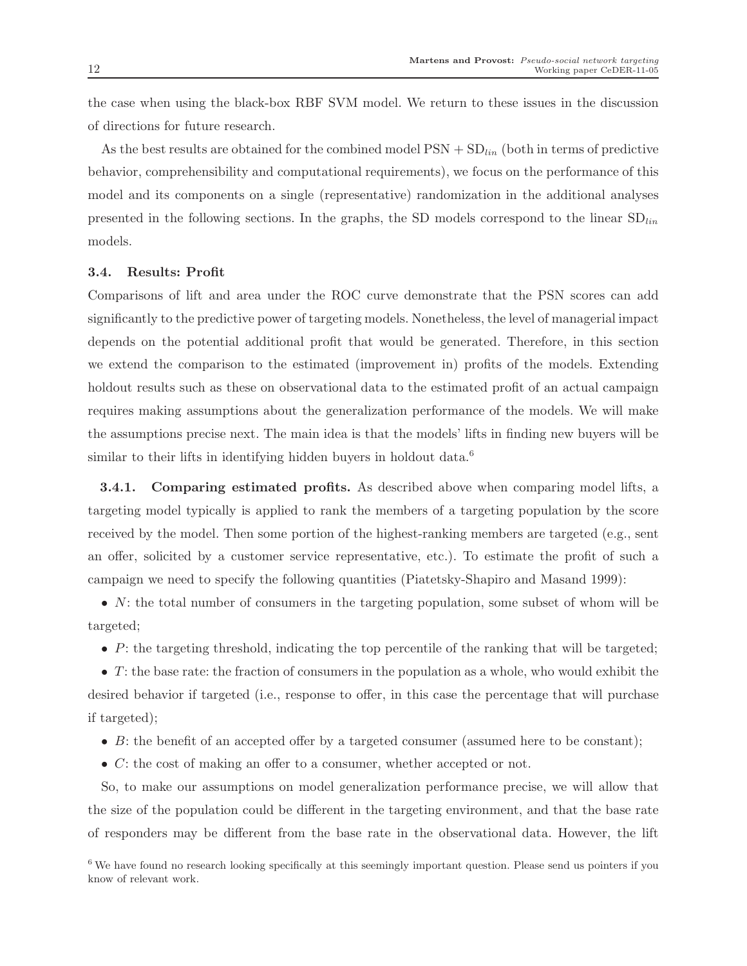the case when using the black-box RBF SVM model. We return to these issues in the discussion of directions for future research.

As the best results are obtained for the combined model  $PSN + SD_{lin}$  (both in terms of predictive behavior, comprehensibility and computational requirements), we focus on the performance of this model and its components on a single (representative) randomization in the additional analyses presented in the following sections. In the graphs, the SD models correspond to the linear  $SD_{lin}$ models.

#### 3.4. Results: Profit

Comparisons of lift and area under the ROC curve demonstrate that the PSN scores can add significantly to the predictive power of targeting models. Nonetheless, the level of managerial impact depends on the potential additional profit that would be generated. Therefore, in this section we extend the comparison to the estimated (improvement in) profits of the models. Extending holdout results such as these on observational data to the estimated profit of an actual campaign requires making assumptions about the generalization performance of the models. We will make the assumptions precise next. The main idea is that the models' lifts in finding new buyers will be similar to their lifts in identifying hidden buyers in holdout data.<sup>6</sup>

3.4.1. Comparing estimated profits. As described above when comparing model lifts, a targeting model typically is applied to rank the members of a targeting population by the score received by the model. Then some portion of the highest-ranking members are targeted (e.g., sent an offer, solicited by a customer service representative, etc.). To estimate the profit of such a campaign we need to specify the following quantities (Piatetsky-Shapiro and Masand 1999):

•  $N$ : the total number of consumers in the targeting population, some subset of whom will be targeted;

•  $P$ : the targeting threshold, indicating the top percentile of the ranking that will be targeted;

 $\bullet$  T: the base rate: the fraction of consumers in the population as a whole, who would exhibit the desired behavior if targeted (i.e., response to offer, in this case the percentage that will purchase if targeted);

- $B$ : the benefit of an accepted offer by a targeted consumer (assumed here to be constant);
- C: the cost of making an offer to a consumer, whether accepted or not.

So, to make our assumptions on model generalization performance precise, we will allow that the size of the population could be different in the targeting environment, and that the base rate of responders may be different from the base rate in the observational data. However, the lift

<sup>6</sup> We have found no research looking specifically at this seemingly important question. Please send us pointers if you know of relevant work.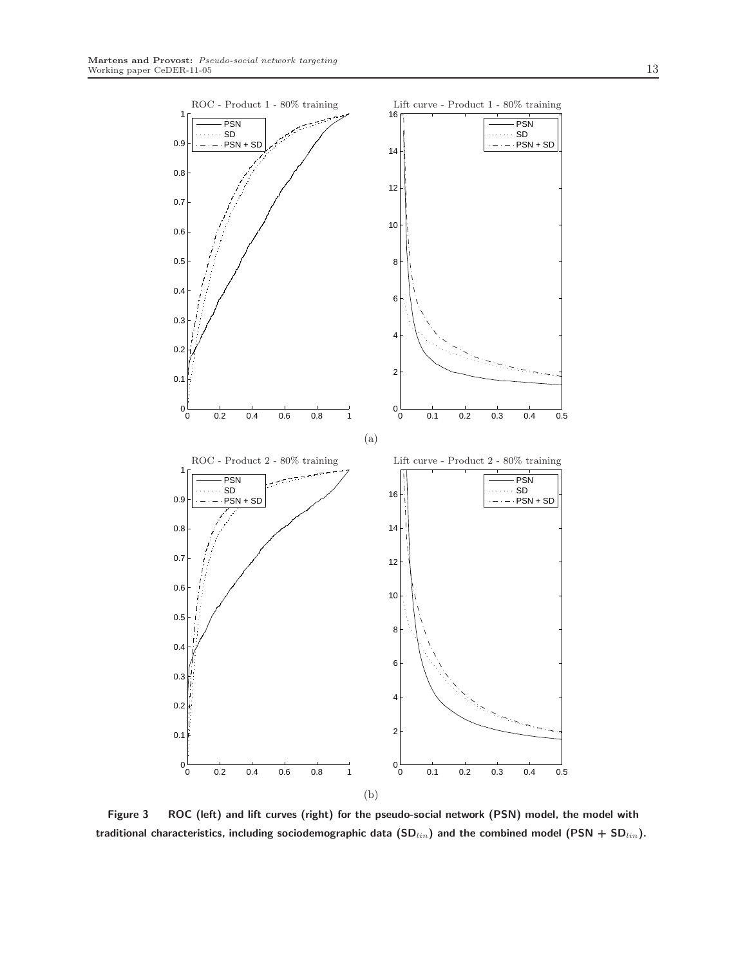

Figure 3 ROC (left) and lift curves (right) for the pseudo-social network (PSN) model, the model with traditional characteristics, including sociodemographic data  $(SD_{lin})$  and the combined model (PSN + SD $_{lin}$ ).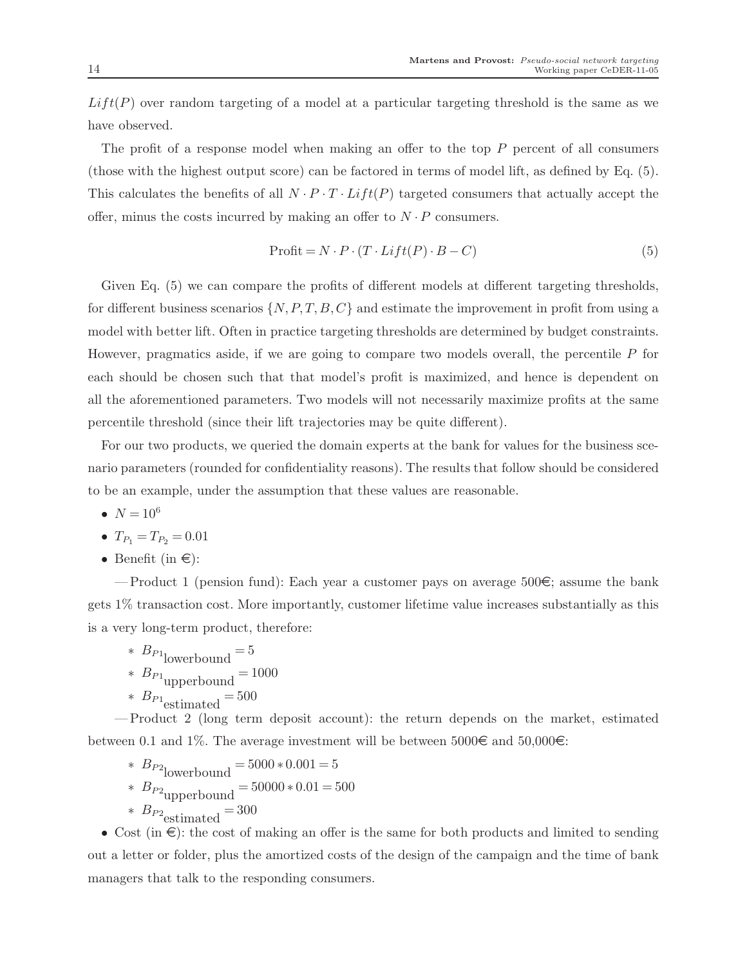$Lift(P)$  over random targeting of a model at a particular targeting threshold is the same as we have observed.

The profit of a response model when making an offer to the top  $P$  percent of all consumers (those with the highest output score) can be factored in terms of model lift, as defined by Eq. (5). This calculates the benefits of all  $N \cdot P \cdot T \cdot Lift(P)$  targeted consumers that actually accept the offer, minus the costs incurred by making an offer to  $N \cdot P$  consumers.

$$
Profit = N \cdot P \cdot (T \cdot Lift(P) \cdot B - C) \tag{5}
$$

Given Eq. (5) we can compare the profits of different models at different targeting thresholds, for different business scenarios  $\{N, P, T, B, C\}$  and estimate the improvement in profit from using a model with better lift. Often in practice targeting thresholds are determined by budget constraints. However, pragmatics aside, if we are going to compare two models overall, the percentile P for each should be chosen such that that model's profit is maximized, and hence is dependent on all the aforementioned parameters. Two models will not necessarily maximize profits at the same percentile threshold (since their lift trajectories may be quite different).

For our two products, we queried the domain experts at the bank for values for the business scenario parameters (rounded for confidentiality reasons). The results that follow should be considered to be an example, under the assumption that these values are reasonable.

- $N = 10^6$
- $T_{P_1} = T_{P_2} = 0.01$
- Benefit (in  $\epsilon$ ):

— Product 1 (pension fund): Each year a customer pays on average  $500\epsilon$ ; assume the bank gets 1% transaction cost. More importantly, customer lifetime value increases substantially as this is a very long-term product, therefore:

 $*$   $B_{P1}$ lowerbound  $=$  5 \*  $B_{P1}$ <sub>upperbound</sub> = 1000  $*$   $B_{P1}$ <sub>estimated</sub> = 500

— Product 2 (long term deposit account): the return depends on the market, estimated between 0.1 and 1%. The average investment will be between  $5000\epsilon$  and  $50,000\epsilon$ :

\*  $B_{P2}$ lowerbound = 5000 \* 0.001 = 5 \*  $B_{P2}$ <sub>upperbound</sub> =  $50000 * 0.01 = 500$  $*$   $B_{P2}$  estimated  $=$  300

• Cost (in  $\epsilon$ ): the cost of making an offer is the same for both products and limited to sending out a letter or folder, plus the amortized costs of the design of the campaign and the time of bank managers that talk to the responding consumers.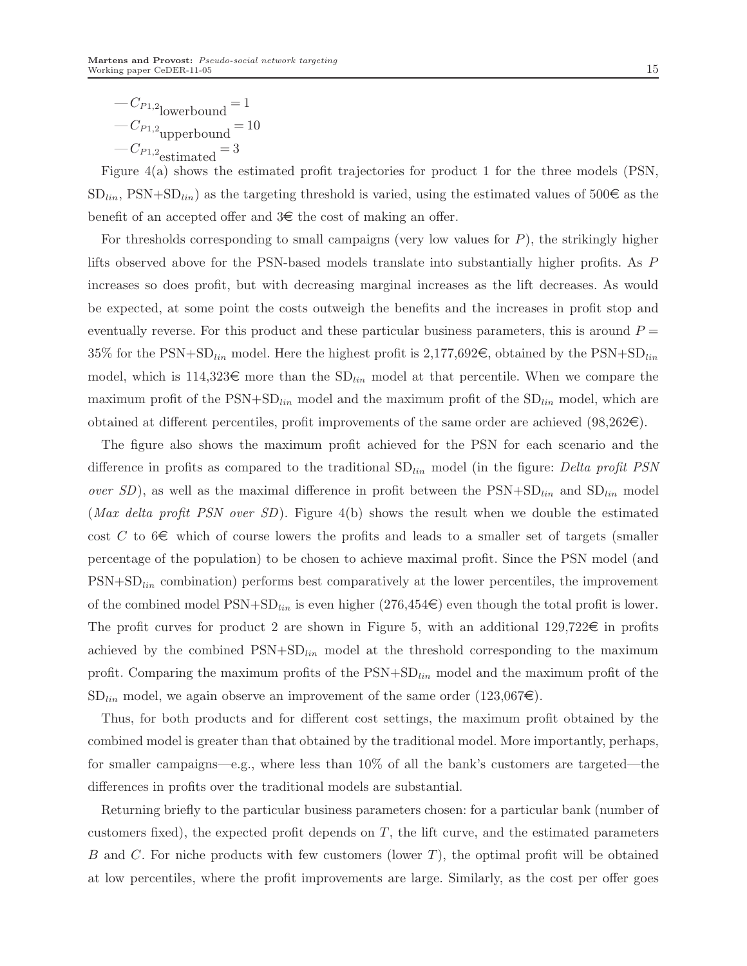Figure 4(a) shows the estimated profit trajectories for product 1 for the three models (PSN,  $SD_{lin}$ , PSN+SD<sub>lin</sub>) as the targeting threshold is varied, using the estimated values of 500  $\in$  as the benefit of an accepted offer and  $3 \in \mathbb{R}$  the cost of making an offer.

For thresholds corresponding to small campaigns (very low values for  $P$ ), the strikingly higher lifts observed above for the PSN-based models translate into substantially higher profits. As P increases so does profit, but with decreasing marginal increases as the lift decreases. As would be expected, at some point the costs outweigh the benefits and the increases in profit stop and eventually reverse. For this product and these particular business parameters, this is around  $P =$ 35% for the PSN+SD<sub>lin</sub> model. Here the highest profit is 2,177,692 $\epsilon$ , obtained by the PSN+SD<sub>lin</sub> model, which is  $114,323 \in \text{more than the SD}_{lin}$  model at that percentile. When we compare the maximum profit of the  $PSN+SD<sub>lin</sub>$  model and the maximum profit of the  $SD<sub>lin</sub>$  model, which are obtained at different percentiles, profit improvements of the same order are achieved  $(98,262\epsilon)$ .

The figure also shows the maximum profit achieved for the PSN for each scenario and the difference in profits as compared to the traditional  $SD<sub>lin</sub>$  model (in the figure: Delta profit PSN *over SD*), as well as the maximal difference in profit between the  $PSN+SD<sub>lin</sub>$  and  $SD<sub>lin</sub>$  model (*Max delta profit PSN over SD*). Figure 4(b) shows the result when we double the estimated cost C to  $6 \in \mathbb{R}$  which of course lowers the profits and leads to a smaller set of targets (smaller percentage of the population) to be chosen to achieve maximal profit. Since the PSN model (and  $PSN+SD<sub>lin</sub>$  combination) performs best comparatively at the lower percentiles, the improvement of the combined model  $\text{PSN}+\text{SD}_{lin}$  is even higher  $(276,454\epsilon)$  even though the total profit is lower. The profit curves for product 2 are shown in Figure 5, with an additional  $129,722 \in \mathbb{R}$  in profits achieved by the combined  $PSN+SD<sub>lin</sub>$  model at the threshold corresponding to the maximum profit. Comparing the maximum profits of the  $PSN+SD<sub>lin</sub>$  model and the maximum profit of the  $SD<sub>lin</sub>$  model, we again observe an improvement of the same order (123,067 $\epsilon$ ).

Thus, for both products and for different cost settings, the maximum profit obtained by the combined model is greater than that obtained by the traditional model. More importantly, perhaps, for smaller campaigns—e.g., where less than 10% of all the bank's customers are targeted—the differences in profits over the traditional models are substantial.

Returning briefly to the particular business parameters chosen: for a particular bank (number of customers fixed), the expected profit depends on  $T$ , the lift curve, and the estimated parameters B and C. For niche products with few customers (lower  $T$ ), the optimal profit will be obtained at low percentiles, where the profit improvements are large. Similarly, as the cost per offer goes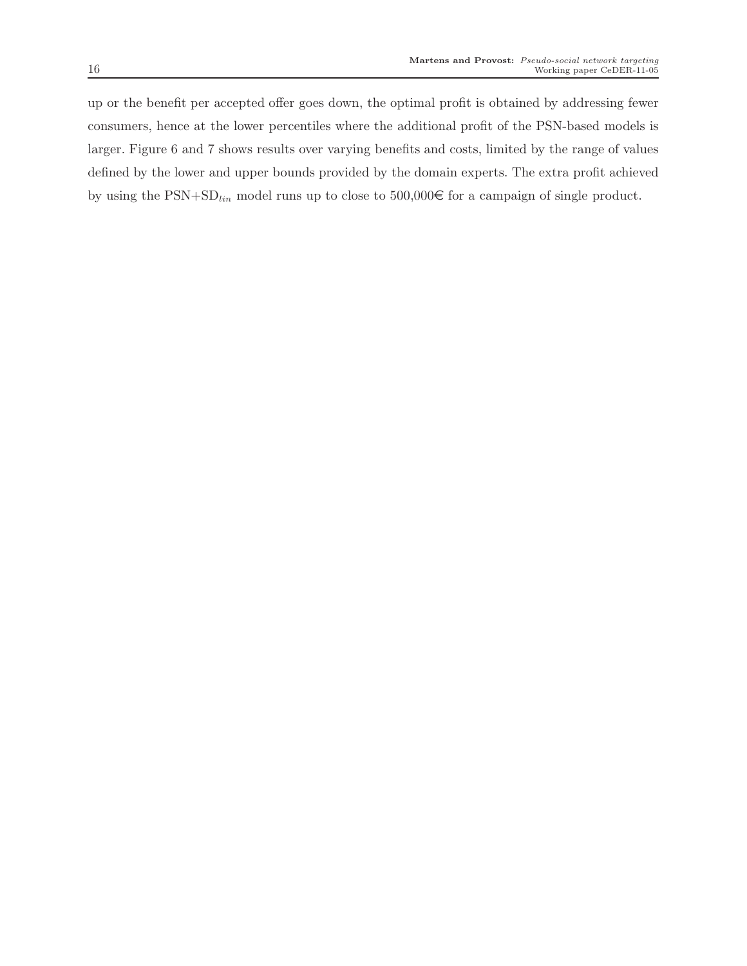up or the benefit per accepted offer goes down, the optimal profit is obtained by addressing fewer consumers, hence at the lower percentiles where the additional profit of the PSN-based models is larger. Figure 6 and 7 shows results over varying benefits and costs, limited by the range of values defined by the lower and upper bounds provided by the domain experts. The extra profit achieved by using the  $PSN+SD<sub>lin</sub>$  model runs up to close to 500,000€ for a campaign of single product.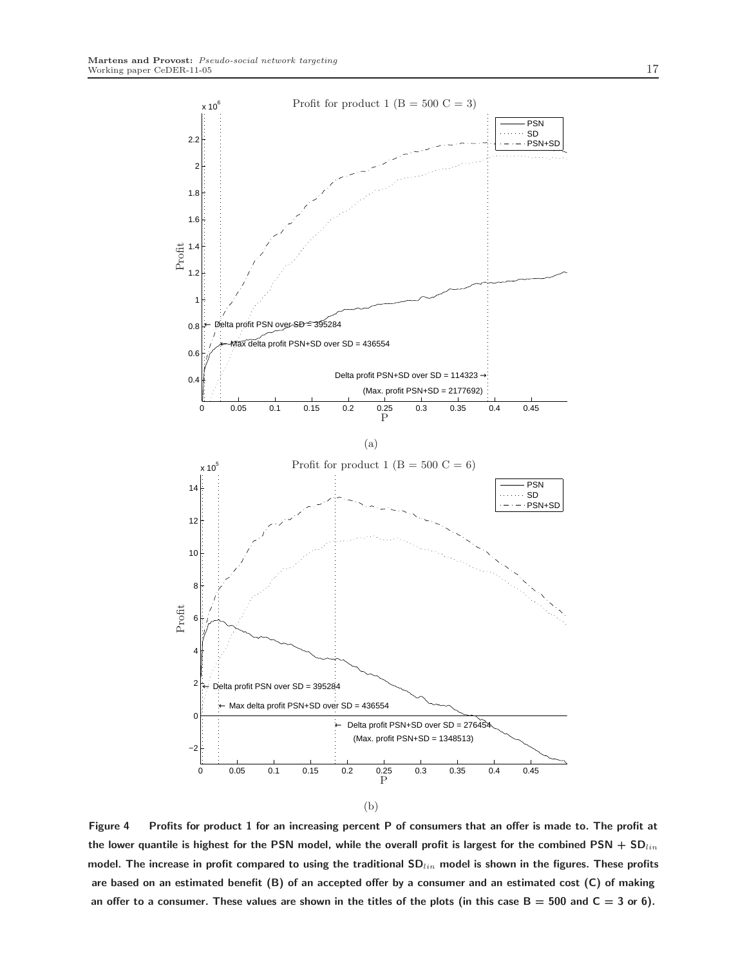

Figure 4 Profits for product 1 for an increasing percent P of consumers that an offer is made to. The profit at the lower quantile is highest for the PSN model, while the overall profit is largest for the combined PSN + SD $_{lin}$ model. The increase in profit compared to using the traditional  $SD_{lin}$  model is shown in the figures. These profits are based on an estimated benefit (B) of an accepted offer by a consumer and an estimated cost (C) of making an offer to a consumer. These values are shown in the titles of the plots (in this case  $B = 500$  and  $C = 3$  or 6).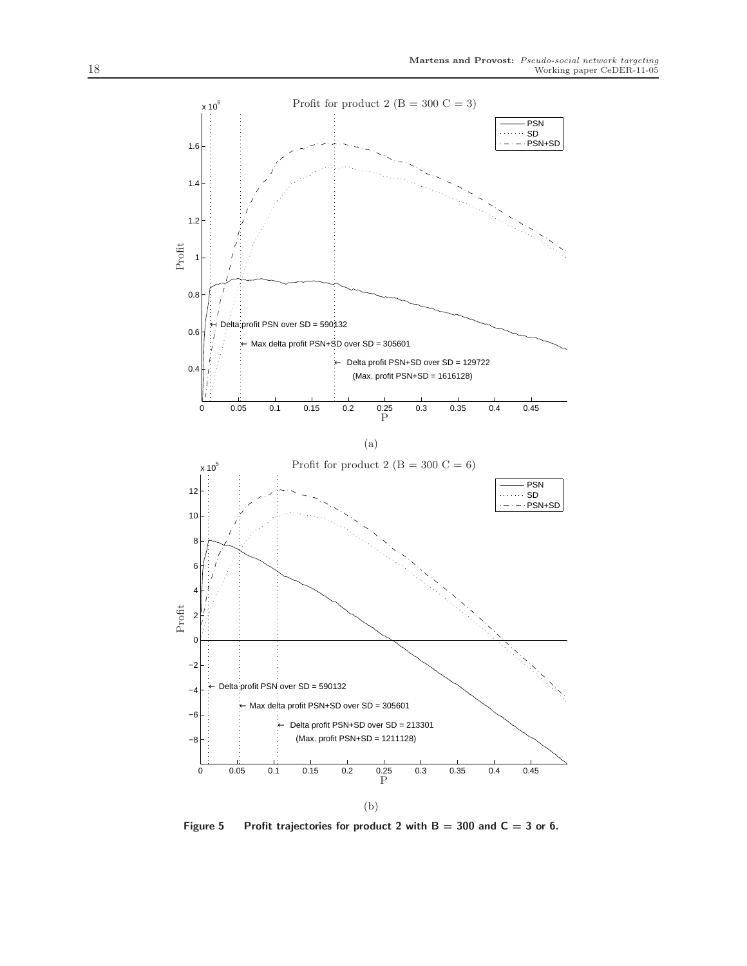

Figure 5 Profit trajectories for product 2 with  $B = 300$  and  $C = 3$  or 6.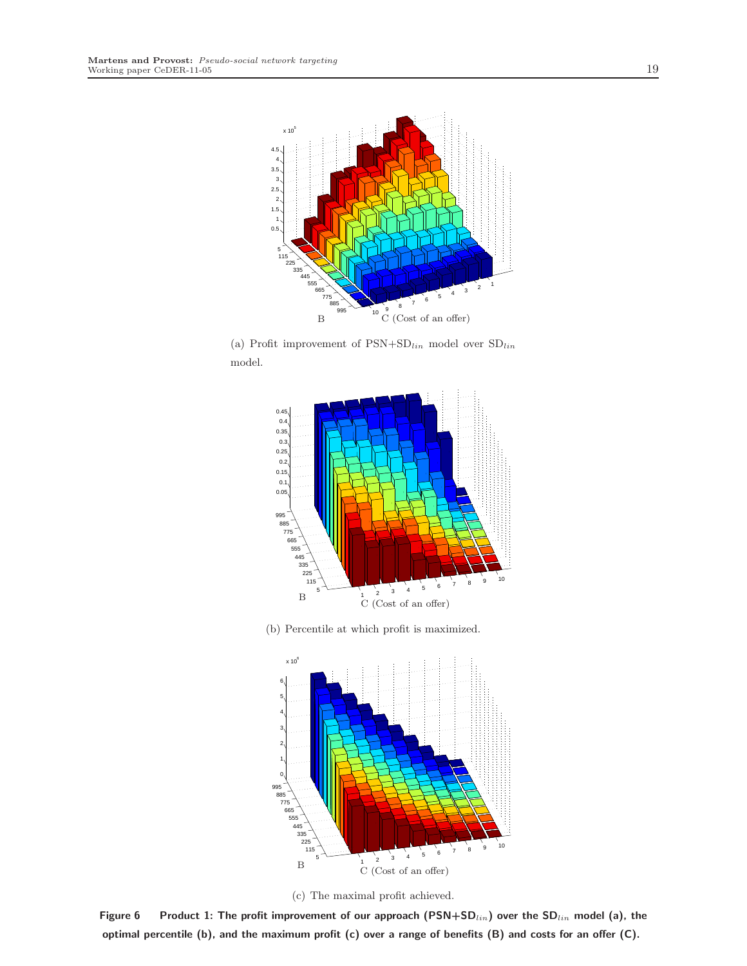

(a) Profit improvement of  $\text{PSN}+\text{SD}_{lin}$  model over  $\text{SD}_{lin}$ model.



(b) Percentile at which profit is maximized.



(c) The maximal profit achieved.

Figure 6 Product 1: The profit improvement of our approach (PSN+SD $_{lin}$ ) over the SD $_{lin}$  model (a), the optimal percentile (b), and the maximum profit (c) over a range of benefits (B) and costs for an offer (C).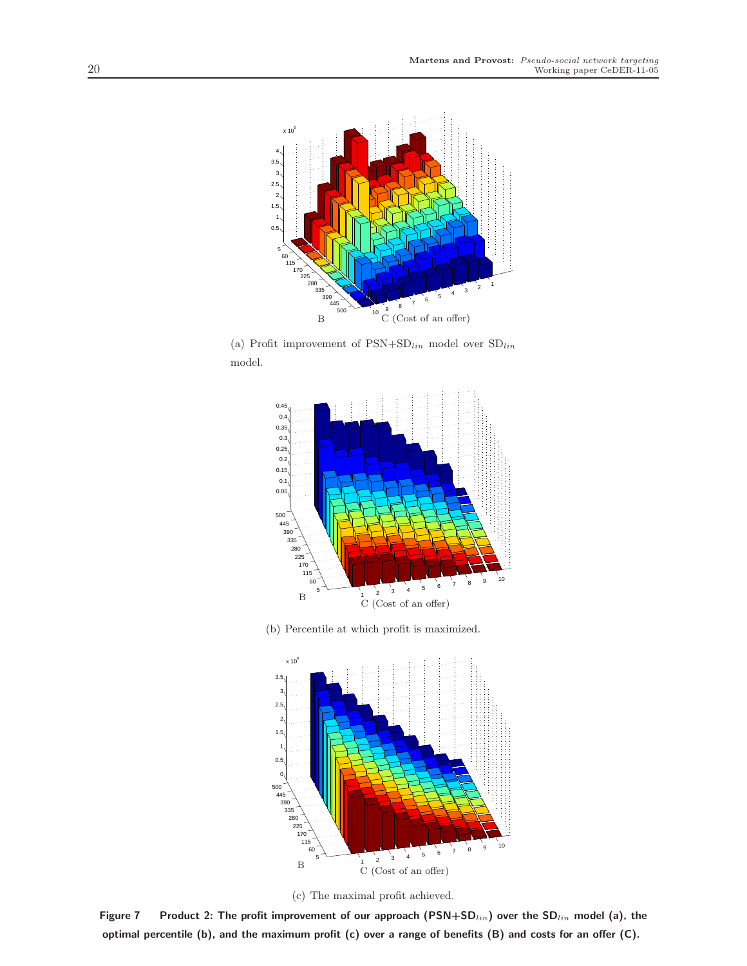

(a) Profit improvement of  $\text{PSN}+\text{SD}_{lin}$  model over  $\text{SD}_{lin}$ model.



(b) Percentile at which profit is maximized.





Figure 7 Product 2: The profit improvement of our approach (PSN+SD $_{lin}$ ) over the SD $_{lin}$  model (a), the optimal percentile (b), and the maximum profit (c) over a range of benefits (B) and costs for an offer (C).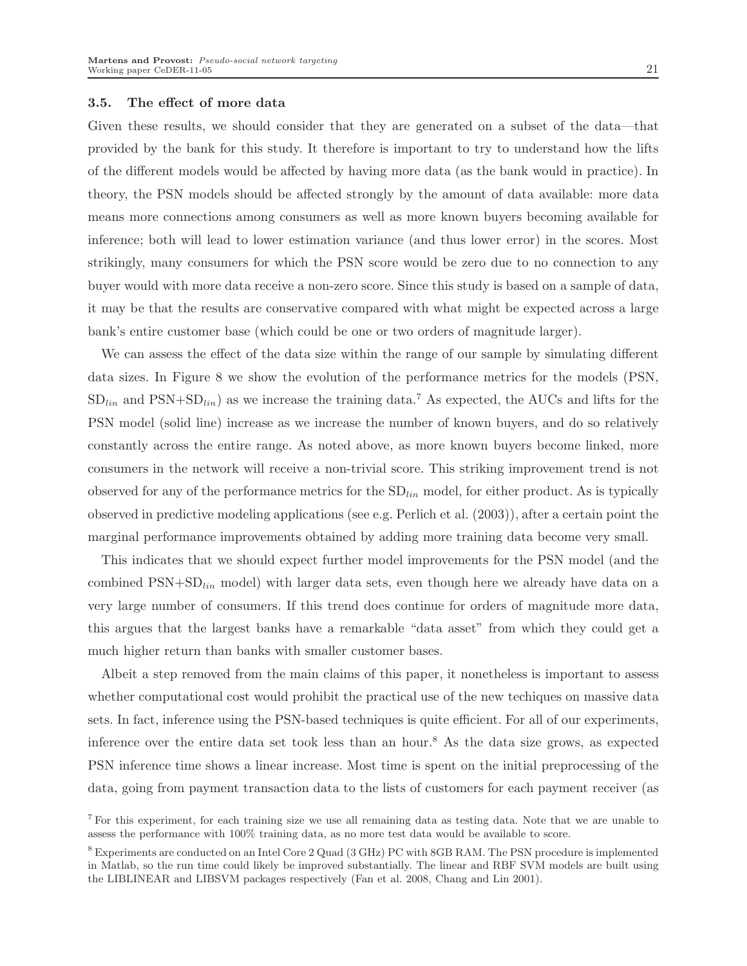#### 3.5. The effect of more data

Given these results, we should consider that they are generated on a subset of the data—that provided by the bank for this study. It therefore is important to try to understand how the lifts of the different models would be affected by having more data (as the bank would in practice). In theory, the PSN models should be affected strongly by the amount of data available: more data means more connections among consumers as well as more known buyers becoming available for inference; both will lead to lower estimation variance (and thus lower error) in the scores. Most strikingly, many consumers for which the PSN score would be zero due to no connection to any buyer would with more data receive a non-zero score. Since this study is based on a sample of data, it may be that the results are conservative compared with what might be expected across a large bank's entire customer base (which could be one or two orders of magnitude larger).

We can assess the effect of the data size within the range of our sample by simulating different data sizes. In Figure 8 we show the evolution of the performance metrics for the models (PSN,  $SD<sub>lin</sub>$  and  $PSN+SD<sub>lin</sub>$  as we increase the training data.<sup>7</sup> As expected, the AUCs and lifts for the PSN model (solid line) increase as we increase the number of known buyers, and do so relatively constantly across the entire range. As noted above, as more known buyers become linked, more consumers in the network will receive a non-trivial score. This striking improvement trend is not observed for any of the performance metrics for the  $SD<sub>lin</sub>$  model, for either product. As is typically observed in predictive modeling applications (see e.g. Perlich et al. (2003)), after a certain point the marginal performance improvements obtained by adding more training data become very small.

This indicates that we should expect further model improvements for the PSN model (and the combined  $PSN+SD<sub>lin</sub>$  model) with larger data sets, even though here we already have data on a very large number of consumers. If this trend does continue for orders of magnitude more data, this argues that the largest banks have a remarkable "data asset" from which they could get a much higher return than banks with smaller customer bases.

Albeit a step removed from the main claims of this paper, it nonetheless is important to assess whether computational cost would prohibit the practical use of the new techiques on massive data sets. In fact, inference using the PSN-based techniques is quite efficient. For all of our experiments, inference over the entire data set took less than an hour.<sup>8</sup> As the data size grows, as expected PSN inference time shows a linear increase. Most time is spent on the initial preprocessing of the data, going from payment transaction data to the lists of customers for each payment receiver (as

<sup>7</sup> For this experiment, for each training size we use all remaining data as testing data. Note that we are unable to assess the performance with 100% training data, as no more test data would be available to score.

<sup>8</sup> Experiments are conducted on an Intel Core 2 Quad (3 GHz) PC with 8GB RAM. The PSN procedure is implemented in Matlab, so the run time could likely be improved substantially. The linear and RBF SVM models are built using the LIBLINEAR and LIBSVM packages respectively (Fan et al. 2008, Chang and Lin 2001).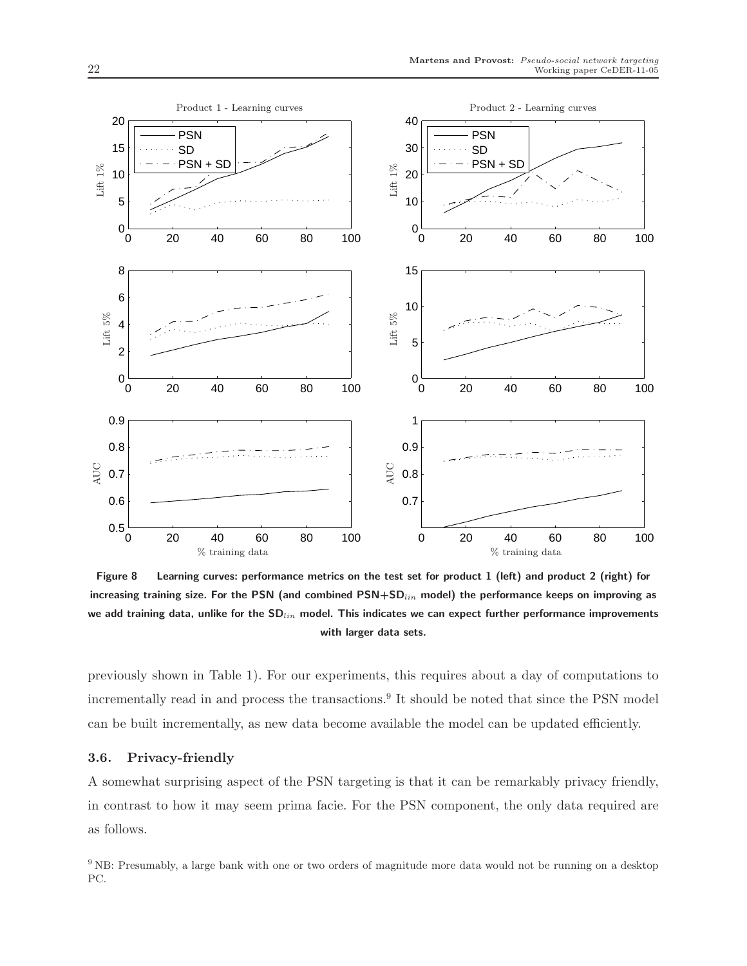

Figure 8 Learning curves: performance metrics on the test set for product 1 (left) and product 2 (right) for increasing training size. For the PSN (and combined  $PSN+SD_{lin}$  model) the performance keeps on improving as we add training data, unlike for the  $SD_{lin}$  model. This indicates we can expect further performance improvements with larger data sets.

previously shown in Table 1). For our experiments, this requires about a day of computations to incrementally read in and process the transactions.<sup>9</sup> It should be noted that since the PSN model can be built incrementally, as new data become available the model can be updated efficiently.

#### 3.6. Privacy-friendly

A somewhat surprising aspect of the PSN targeting is that it can be remarkably privacy friendly, in contrast to how it may seem prima facie. For the PSN component, the only data required are as follows.

<sup>9</sup> NB: Presumably, a large bank with one or two orders of magnitude more data would not be running on a desktop PC.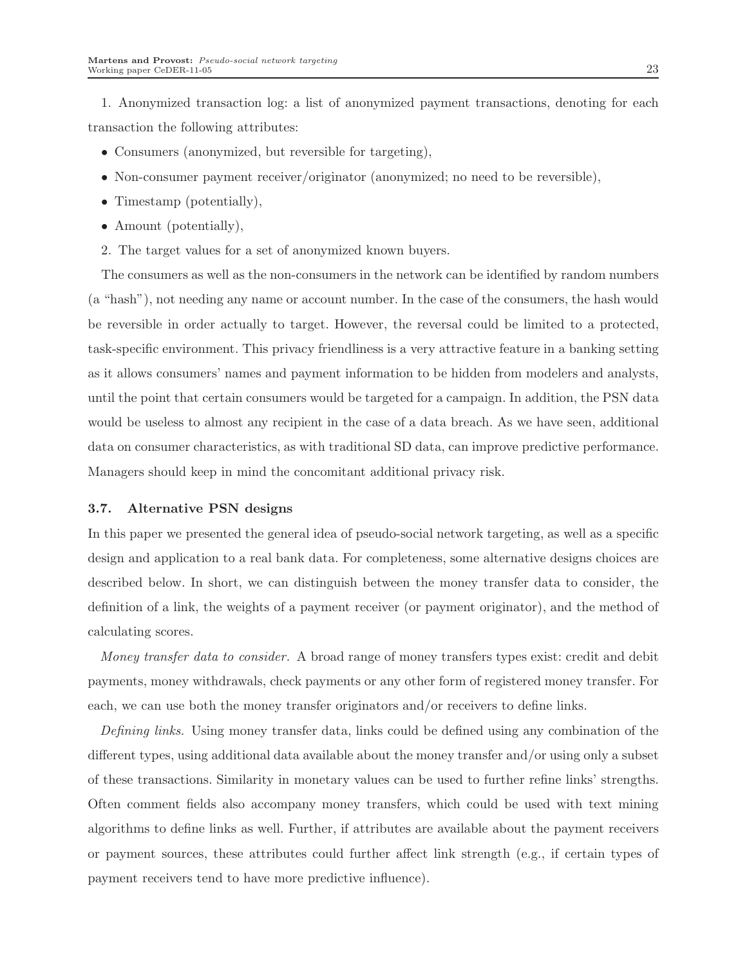1. Anonymized transaction log: a list of anonymized payment transactions, denoting for each transaction the following attributes:

- Consumers (anonymized, but reversible for targeting),
- Non-consumer payment receiver/originator (anonymized; no need to be reversible),
- Timestamp (potentially),
- Amount (potentially),
- 2. The target values for a set of anonymized known buyers.

The consumers as well as the non-consumers in the network can be identified by random numbers (a "hash"), not needing any name or account number. In the case of the consumers, the hash would be reversible in order actually to target. However, the reversal could be limited to a protected, task-specific environment. This privacy friendliness is a very attractive feature in a banking setting as it allows consumers' names and payment information to be hidden from modelers and analysts, until the point that certain consumers would be targeted for a campaign. In addition, the PSN data would be useless to almost any recipient in the case of a data breach. As we have seen, additional data on consumer characteristics, as with traditional SD data, can improve predictive performance. Managers should keep in mind the concomitant additional privacy risk.

#### 3.7. Alternative PSN designs

In this paper we presented the general idea of pseudo-social network targeting, as well as a specific design and application to a real bank data. For completeness, some alternative designs choices are described below. In short, we can distinguish between the money transfer data to consider, the definition of a link, the weights of a payment receiver (or payment originator), and the method of calculating scores.

Money transfer data to consider. A broad range of money transfers types exist: credit and debit payments, money withdrawals, check payments or any other form of registered money transfer. For each, we can use both the money transfer originators and/or receivers to define links.

Defining links. Using money transfer data, links could be defined using any combination of the different types, using additional data available about the money transfer and/or using only a subset of these transactions. Similarity in monetary values can be used to further refine links' strengths. Often comment fields also accompany money transfers, which could be used with text mining algorithms to define links as well. Further, if attributes are available about the payment receivers or payment sources, these attributes could further affect link strength (e.g., if certain types of payment receivers tend to have more predictive influence).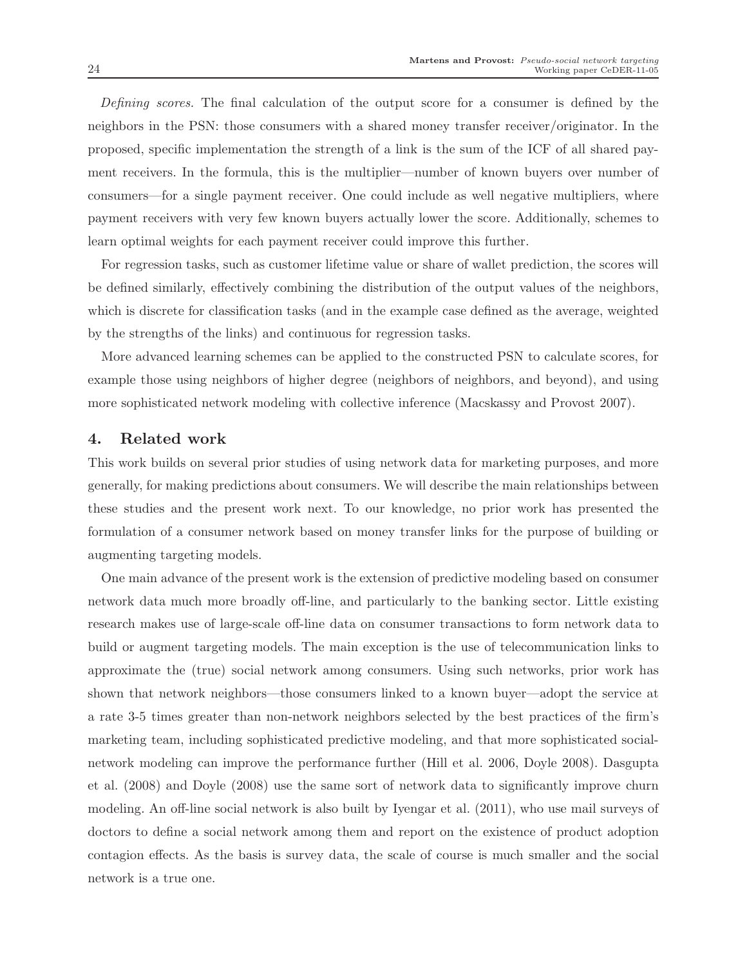Defining scores. The final calculation of the output score for a consumer is defined by the neighbors in the PSN: those consumers with a shared money transfer receiver/originator. In the proposed, specific implementation the strength of a link is the sum of the ICF of all shared payment receivers. In the formula, this is the multiplier—number of known buyers over number of consumers—for a single payment receiver. One could include as well negative multipliers, where payment receivers with very few known buyers actually lower the score. Additionally, schemes to learn optimal weights for each payment receiver could improve this further.

For regression tasks, such as customer lifetime value or share of wallet prediction, the scores will be defined similarly, effectively combining the distribution of the output values of the neighbors, which is discrete for classification tasks (and in the example case defined as the average, weighted by the strengths of the links) and continuous for regression tasks.

More advanced learning schemes can be applied to the constructed PSN to calculate scores, for example those using neighbors of higher degree (neighbors of neighbors, and beyond), and using more sophisticated network modeling with collective inference (Macskassy and Provost 2007).

#### 4. Related work

This work builds on several prior studies of using network data for marketing purposes, and more generally, for making predictions about consumers. We will describe the main relationships between these studies and the present work next. To our knowledge, no prior work has presented the formulation of a consumer network based on money transfer links for the purpose of building or augmenting targeting models.

One main advance of the present work is the extension of predictive modeling based on consumer network data much more broadly off-line, and particularly to the banking sector. Little existing research makes use of large-scale off-line data on consumer transactions to form network data to build or augment targeting models. The main exception is the use of telecommunication links to approximate the (true) social network among consumers. Using such networks, prior work has shown that network neighbors—those consumers linked to a known buyer—adopt the service at a rate 3-5 times greater than non-network neighbors selected by the best practices of the firm's marketing team, including sophisticated predictive modeling, and that more sophisticated socialnetwork modeling can improve the performance further (Hill et al. 2006, Doyle 2008). Dasgupta et al. (2008) and Doyle (2008) use the same sort of network data to significantly improve churn modeling. An off-line social network is also built by Iyengar et al. (2011), who use mail surveys of doctors to define a social network among them and report on the existence of product adoption contagion effects. As the basis is survey data, the scale of course is much smaller and the social network is a true one.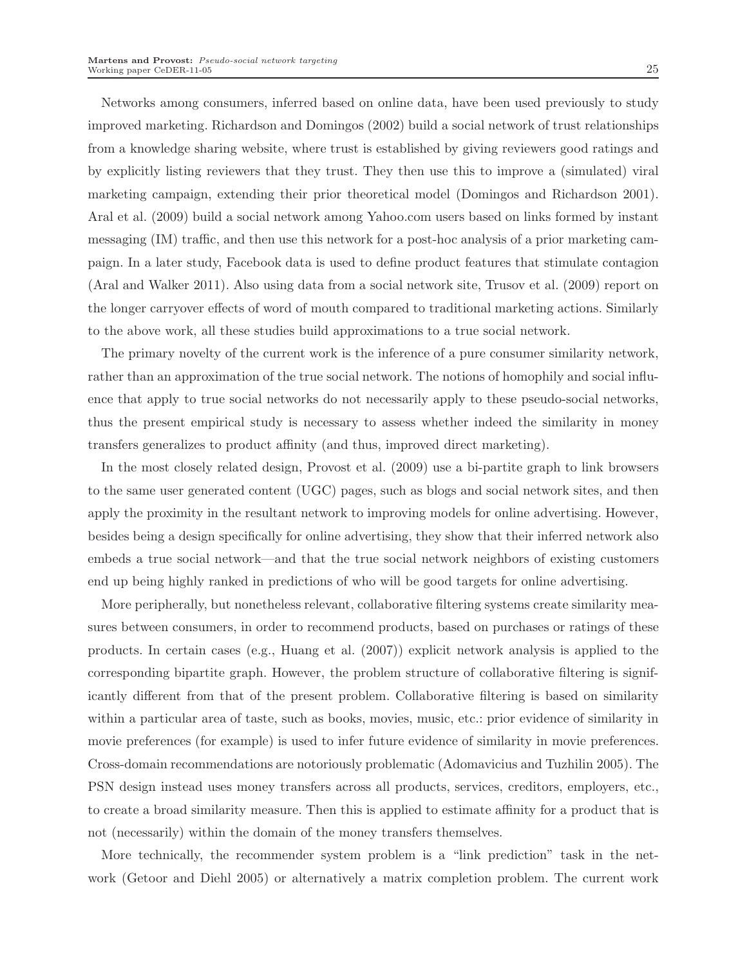Networks among consumers, inferred based on online data, have been used previously to study improved marketing. Richardson and Domingos (2002) build a social network of trust relationships from a knowledge sharing website, where trust is established by giving reviewers good ratings and by explicitly listing reviewers that they trust. They then use this to improve a (simulated) viral marketing campaign, extending their prior theoretical model (Domingos and Richardson 2001). Aral et al. (2009) build a social network among Yahoo.com users based on links formed by instant messaging (IM) traffic, and then use this network for a post-hoc analysis of a prior marketing campaign. In a later study, Facebook data is used to define product features that stimulate contagion (Aral and Walker 2011). Also using data from a social network site, Trusov et al. (2009) report on the longer carryover effects of word of mouth compared to traditional marketing actions. Similarly to the above work, all these studies build approximations to a true social network.

The primary novelty of the current work is the inference of a pure consumer similarity network, rather than an approximation of the true social network. The notions of homophily and social influence that apply to true social networks do not necessarily apply to these pseudo-social networks, thus the present empirical study is necessary to assess whether indeed the similarity in money transfers generalizes to product affinity (and thus, improved direct marketing).

In the most closely related design, Provost et al. (2009) use a bi-partite graph to link browsers to the same user generated content (UGC) pages, such as blogs and social network sites, and then apply the proximity in the resultant network to improving models for online advertising. However, besides being a design specifically for online advertising, they show that their inferred network also embeds a true social network—and that the true social network neighbors of existing customers end up being highly ranked in predictions of who will be good targets for online advertising.

More peripherally, but nonetheless relevant, collaborative filtering systems create similarity measures between consumers, in order to recommend products, based on purchases or ratings of these products. In certain cases (e.g., Huang et al. (2007)) explicit network analysis is applied to the corresponding bipartite graph. However, the problem structure of collaborative filtering is significantly different from that of the present problem. Collaborative filtering is based on similarity within a particular area of taste, such as books, movies, music, etc.: prior evidence of similarity in movie preferences (for example) is used to infer future evidence of similarity in movie preferences. Cross-domain recommendations are notoriously problematic (Adomavicius and Tuzhilin 2005). The PSN design instead uses money transfers across all products, services, creditors, employers, etc., to create a broad similarity measure. Then this is applied to estimate affinity for a product that is not (necessarily) within the domain of the money transfers themselves.

More technically, the recommender system problem is a "link prediction" task in the network (Getoor and Diehl 2005) or alternatively a matrix completion problem. The current work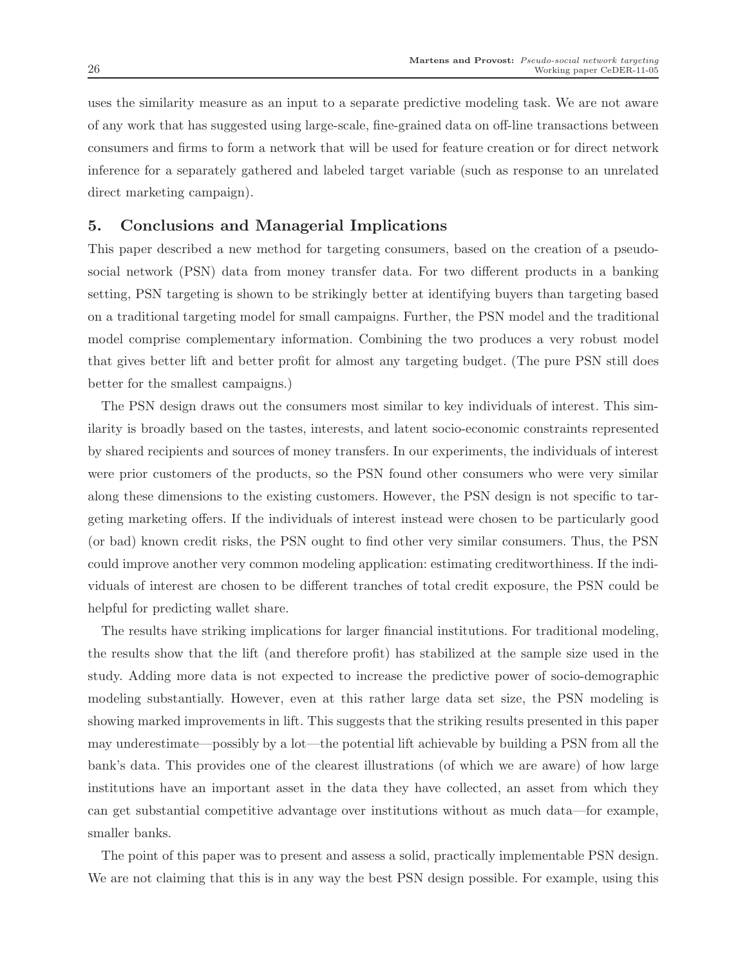uses the similarity measure as an input to a separate predictive modeling task. We are not aware of any work that has suggested using large-scale, fine-grained data on off-line transactions between consumers and firms to form a network that will be used for feature creation or for direct network inference for a separately gathered and labeled target variable (such as response to an unrelated direct marketing campaign).

## 5. Conclusions and Managerial Implications

This paper described a new method for targeting consumers, based on the creation of a pseudosocial network (PSN) data from money transfer data. For two different products in a banking setting, PSN targeting is shown to be strikingly better at identifying buyers than targeting based on a traditional targeting model for small campaigns. Further, the PSN model and the traditional model comprise complementary information. Combining the two produces a very robust model that gives better lift and better profit for almost any targeting budget. (The pure PSN still does better for the smallest campaigns.)

The PSN design draws out the consumers most similar to key individuals of interest. This similarity is broadly based on the tastes, interests, and latent socio-economic constraints represented by shared recipients and sources of money transfers. In our experiments, the individuals of interest were prior customers of the products, so the PSN found other consumers who were very similar along these dimensions to the existing customers. However, the PSN design is not specific to targeting marketing offers. If the individuals of interest instead were chosen to be particularly good (or bad) known credit risks, the PSN ought to find other very similar consumers. Thus, the PSN could improve another very common modeling application: estimating creditworthiness. If the individuals of interest are chosen to be different tranches of total credit exposure, the PSN could be helpful for predicting wallet share.

The results have striking implications for larger financial institutions. For traditional modeling, the results show that the lift (and therefore profit) has stabilized at the sample size used in the study. Adding more data is not expected to increase the predictive power of socio-demographic modeling substantially. However, even at this rather large data set size, the PSN modeling is showing marked improvements in lift. This suggests that the striking results presented in this paper may underestimate—possibly by a lot—the potential lift achievable by building a PSN from all the bank's data. This provides one of the clearest illustrations (of which we are aware) of how large institutions have an important asset in the data they have collected, an asset from which they can get substantial competitive advantage over institutions without as much data—for example, smaller banks.

The point of this paper was to present and assess a solid, practically implementable PSN design. We are not claiming that this is in any way the best PSN design possible. For example, using this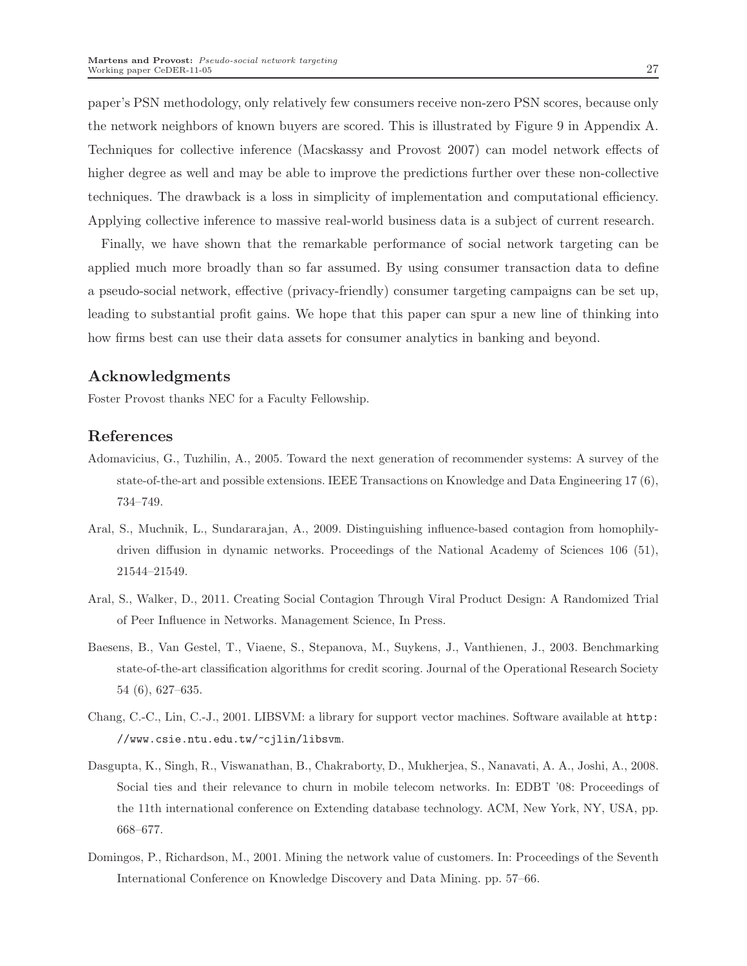paper's PSN methodology, only relatively few consumers receive non-zero PSN scores, because only the network neighbors of known buyers are scored. This is illustrated by Figure 9 in Appendix A. Techniques for collective inference (Macskassy and Provost 2007) can model network effects of higher degree as well and may be able to improve the predictions further over these non-collective techniques. The drawback is a loss in simplicity of implementation and computational efficiency. Applying collective inference to massive real-world business data is a subject of current research.

Finally, we have shown that the remarkable performance of social network targeting can be applied much more broadly than so far assumed. By using consumer transaction data to define a pseudo-social network, effective (privacy-friendly) consumer targeting campaigns can be set up, leading to substantial profit gains. We hope that this paper can spur a new line of thinking into how firms best can use their data assets for consumer analytics in banking and beyond.

## Acknowledgments

Foster Provost thanks NEC for a Faculty Fellowship.

### References

- Adomavicius, G., Tuzhilin, A., 2005. Toward the next generation of recommender systems: A survey of the state-of-the-art and possible extensions. IEEE Transactions on Knowledge and Data Engineering 17 (6), 734–749.
- Aral, S., Muchnik, L., Sundararajan, A., 2009. Distinguishing influence-based contagion from homophilydriven diffusion in dynamic networks. Proceedings of the National Academy of Sciences 106 (51), 21544–21549.
- Aral, S., Walker, D., 2011. Creating Social Contagion Through Viral Product Design: A Randomized Trial of Peer Influence in Networks. Management Science, In Press.
- Baesens, B., Van Gestel, T., Viaene, S., Stepanova, M., Suykens, J., Vanthienen, J., 2003. Benchmarking state-of-the-art classification algorithms for credit scoring. Journal of the Operational Research Society 54 (6), 627–635.
- Chang, C.-C., Lin, C.-J., 2001. LIBSVM: a library for support vector machines. Software available at http: //www.csie.ntu.edu.tw/~cjlin/libsvm.
- Dasgupta, K., Singh, R., Viswanathan, B., Chakraborty, D., Mukherjea, S., Nanavati, A. A., Joshi, A., 2008. Social ties and their relevance to churn in mobile telecom networks. In: EDBT '08: Proceedings of the 11th international conference on Extending database technology. ACM, New York, NY, USA, pp. 668–677.
- Domingos, P., Richardson, M., 2001. Mining the network value of customers. In: Proceedings of the Seventh International Conference on Knowledge Discovery and Data Mining. pp. 57–66.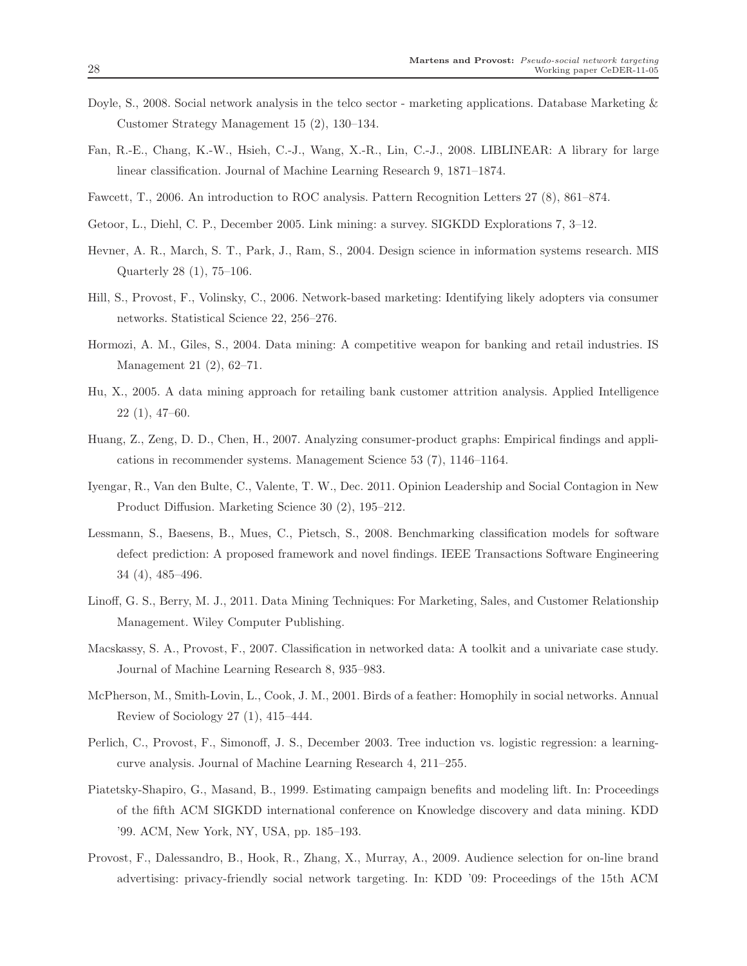- Doyle, S., 2008. Social network analysis in the telco sector marketing applications. Database Marketing & Customer Strategy Management 15 (2), 130–134.
- Fan, R.-E., Chang, K.-W., Hsieh, C.-J., Wang, X.-R., Lin, C.-J., 2008. LIBLINEAR: A library for large linear classification. Journal of Machine Learning Research 9, 1871–1874.
- Fawcett, T., 2006. An introduction to ROC analysis. Pattern Recognition Letters 27 (8), 861–874.
- Getoor, L., Diehl, C. P., December 2005. Link mining: a survey. SIGKDD Explorations 7, 3–12.
- Hevner, A. R., March, S. T., Park, J., Ram, S., 2004. Design science in information systems research. MIS Quarterly 28 (1), 75–106.
- Hill, S., Provost, F., Volinsky, C., 2006. Network-based marketing: Identifying likely adopters via consumer networks. Statistical Science 22, 256–276.
- Hormozi, A. M., Giles, S., 2004. Data mining: A competitive weapon for banking and retail industries. IS Management 21 (2), 62–71.
- Hu, X., 2005. A data mining approach for retailing bank customer attrition analysis. Applied Intelligence 22 (1), 47–60.
- Huang, Z., Zeng, D. D., Chen, H., 2007. Analyzing consumer-product graphs: Empirical findings and applications in recommender systems. Management Science 53 (7), 1146–1164.
- Iyengar, R., Van den Bulte, C., Valente, T. W., Dec. 2011. Opinion Leadership and Social Contagion in New Product Diffusion. Marketing Science 30 (2), 195–212.
- Lessmann, S., Baesens, B., Mues, C., Pietsch, S., 2008. Benchmarking classification models for software defect prediction: A proposed framework and novel findings. IEEE Transactions Software Engineering 34 (4), 485–496.
- Linoff, G. S., Berry, M. J., 2011. Data Mining Techniques: For Marketing, Sales, and Customer Relationship Management. Wiley Computer Publishing.
- Macskassy, S. A., Provost, F., 2007. Classification in networked data: A toolkit and a univariate case study. Journal of Machine Learning Research 8, 935–983.
- McPherson, M., Smith-Lovin, L., Cook, J. M., 2001. Birds of a feather: Homophily in social networks. Annual Review of Sociology 27 (1), 415–444.
- Perlich, C., Provost, F., Simonoff, J. S., December 2003. Tree induction vs. logistic regression: a learningcurve analysis. Journal of Machine Learning Research 4, 211–255.
- Piatetsky-Shapiro, G., Masand, B., 1999. Estimating campaign benefits and modeling lift. In: Proceedings of the fifth ACM SIGKDD international conference on Knowledge discovery and data mining. KDD '99. ACM, New York, NY, USA, pp. 185–193.
- Provost, F., Dalessandro, B., Hook, R., Zhang, X., Murray, A., 2009. Audience selection for on-line brand advertising: privacy-friendly social network targeting. In: KDD '09: Proceedings of the 15th ACM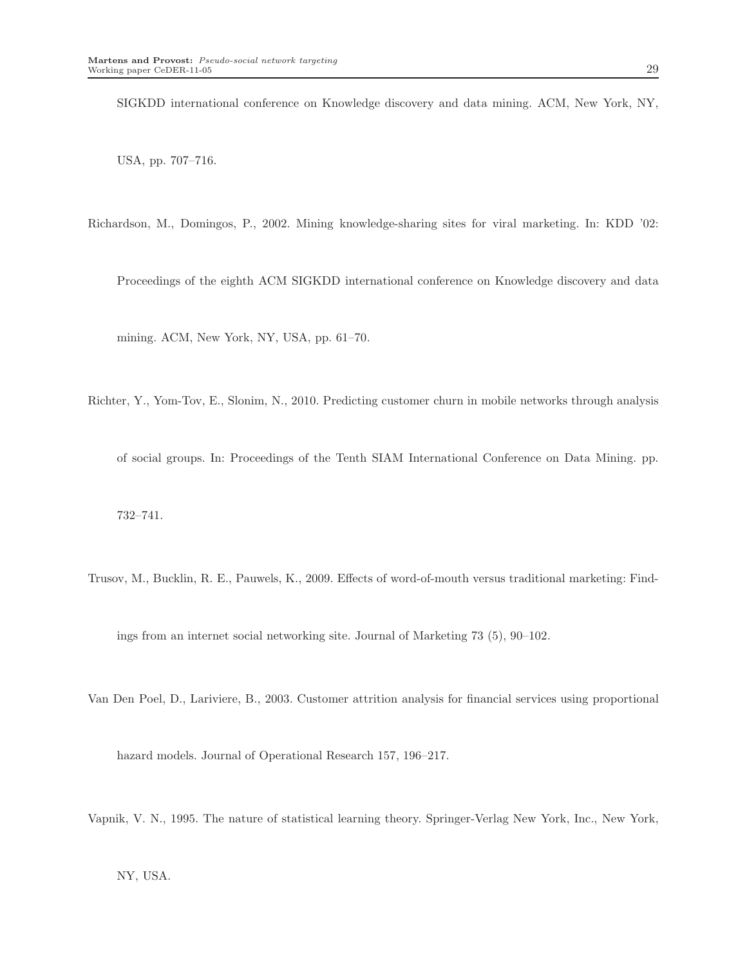SIGKDD international conference on Knowledge discovery and data mining. ACM, New York, NY,

USA, pp. 707–716.

Richardson, M., Domingos, P., 2002. Mining knowledge-sharing sites for viral marketing. In: KDD '02:

Proceedings of the eighth ACM SIGKDD international conference on Knowledge discovery and data

mining. ACM, New York, NY, USA, pp. 61–70.

Richter, Y., Yom-Tov, E., Slonim, N., 2010. Predicting customer churn in mobile networks through analysis

of social groups. In: Proceedings of the Tenth SIAM International Conference on Data Mining. pp.

732–741.

Trusov, M., Bucklin, R. E., Pauwels, K., 2009. Effects of word-of-mouth versus traditional marketing: Find-

ings from an internet social networking site. Journal of Marketing 73 (5), 90–102.

Van Den Poel, D., Lariviere, B., 2003. Customer attrition analysis for financial services using proportional

hazard models. Journal of Operational Research 157, 196–217.

Vapnik, V. N., 1995. The nature of statistical learning theory. Springer-Verlag New York, Inc., New York,

NY, USA.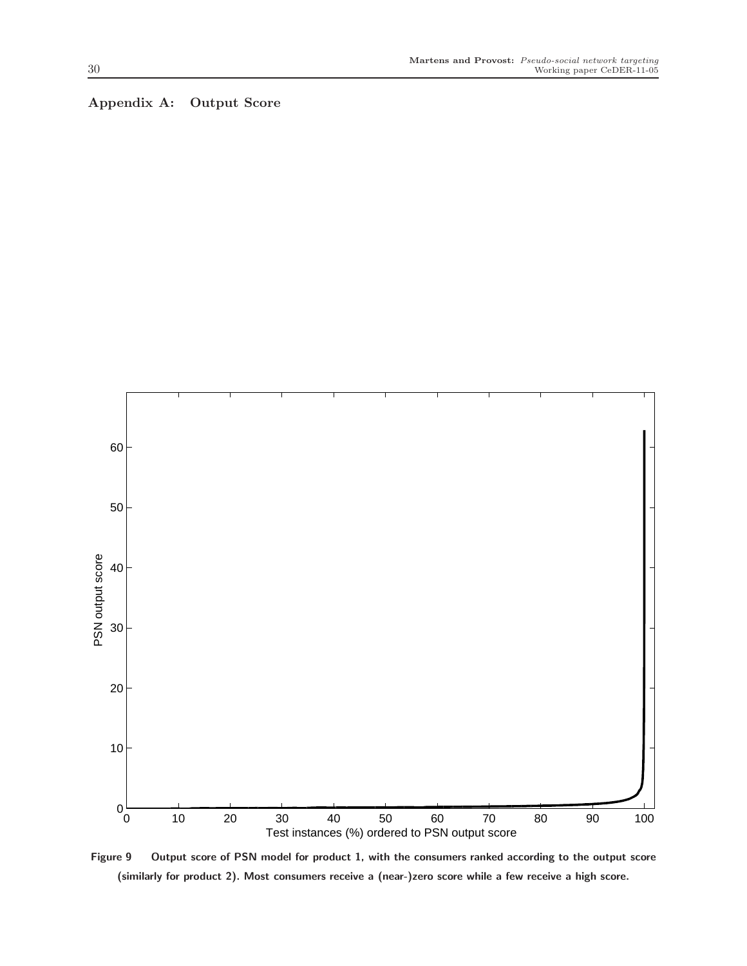## Appendix A: Output Score



Figure 9 Output score of PSN model for product 1, with the consumers ranked according to the output score (similarly for product 2). Most consumers receive a (near-)zero score while a few receive a high score.